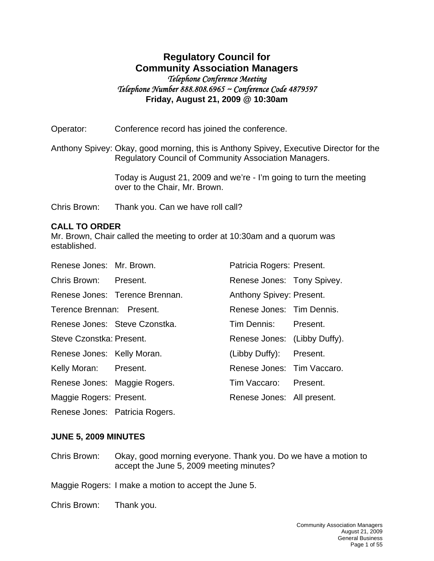# **Regulatory Council for Community Association Managers**  *Telephone Conference Meeting Telephone Number 888.808.6965 ~ Conference Code 4879597*  **Friday, August 21, 2009 @ 10:30am**

Operator: Conference record has joined the conference.

Anthony Spivey: Okay, good morning, this is Anthony Spivey, Executive Director for the Regulatory Council of Community Association Managers.

> Today is August 21, 2009 and we're - I'm going to turn the meeting over to the Chair, Mr. Brown.

Chris Brown: Thank you. Can we have roll call?

## **CALL TO ORDER**

Mr. Brown, Chair called the meeting to order at 10:30am and a quorum was established.

| Renese Jones: Mr. Brown.       |                                                                                                                                                                                                                                                                                          |
|--------------------------------|------------------------------------------------------------------------------------------------------------------------------------------------------------------------------------------------------------------------------------------------------------------------------------------|
| Chris Brown: Present.          |                                                                                                                                                                                                                                                                                          |
| Renese Jones: Terence Brennan. |                                                                                                                                                                                                                                                                                          |
| Terence Brennan: Present.      |                                                                                                                                                                                                                                                                                          |
| Renese Jones: Steve Czonstka.  |                                                                                                                                                                                                                                                                                          |
| Steve Czonstka: Present.       |                                                                                                                                                                                                                                                                                          |
| Renese Jones: Kelly Moran.     |                                                                                                                                                                                                                                                                                          |
| Kelly Moran: Present.          |                                                                                                                                                                                                                                                                                          |
| Renese Jones: Maggie Rogers.   |                                                                                                                                                                                                                                                                                          |
| Maggie Rogers: Present.        |                                                                                                                                                                                                                                                                                          |
|                                | Patricia Rogers: Present.<br>Renese Jones: Tony Spivey.<br>Anthony Spivey: Present.<br>Renese Jones: Tim Dennis.<br>Tim Dennis: Present.<br>Renese Jones: (Libby Duffy).<br>(Libby Duffy): Present.<br>Renese Jones: Tim Vaccaro.<br>Tim Vaccaro: Present.<br>Renese Jones: All present. |

Renese Jones: Patricia Rogers.

## **JUNE 5, 2009 MINUTES**

Chris Brown: Okay, good morning everyone. Thank you. Do we have a motion to accept the June 5, 2009 meeting minutes?

Maggie Rogers: I make a motion to accept the June 5.

Chris Brown: Thank you.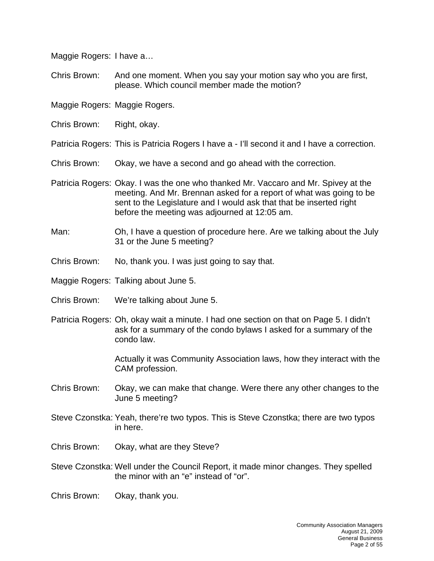Maggie Rogers: I have a…

Chris Brown: And one moment. When you say your motion say who you are first, please. Which council member made the motion?

Maggie Rogers: Maggie Rogers.

Chris Brown: Right, okay.

Patricia Rogers: This is Patricia Rogers I have a - I'll second it and I have a correction.

- Chris Brown: Okay, we have a second and go ahead with the correction.
- Patricia Rogers: Okay. I was the one who thanked Mr. Vaccaro and Mr. Spivey at the meeting. And Mr. Brennan asked for a report of what was going to be sent to the Legislature and I would ask that that be inserted right before the meeting was adjourned at 12:05 am.
- Man: Oh, I have a question of procedure here. Are we talking about the July 31 or the June 5 meeting?
- Chris Brown: No, thank you. I was just going to say that.
- Maggie Rogers: Talking about June 5.
- Chris Brown: We're talking about June 5.
- Patricia Rogers: Oh, okay wait a minute. I had one section on that on Page 5. I didn't ask for a summary of the condo bylaws I asked for a summary of the condo law.

Actually it was Community Association laws, how they interact with the CAM profession.

- Chris Brown: Okay, we can make that change. Were there any other changes to the June 5 meeting?
- Steve Czonstka: Yeah, there're two typos. This is Steve Czonstka; there are two typos in here.
- Chris Brown: Okay, what are they Steve?
- Steve Czonstka: Well under the Council Report, it made minor changes. They spelled the minor with an "e" instead of "or".
- Chris Brown: Okay, thank you.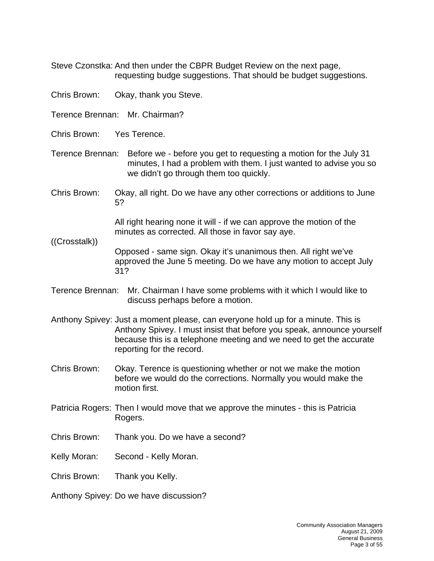Steve Czonstka: And then under the CBPR Budget Review on the next page, requesting budge suggestions. That should be budget suggestions.

- Chris Brown: Okay, thank you Steve.
- Terence Brennan: Mr. Chairman?
- Chris Brown: Yes Terence.

((Crosstalk))

- Terence Brennan: Before we before you get to requesting a motion for the July 31 minutes, I had a problem with them. I just wanted to advise you so we didn't go through them too quickly.
- Chris Brown: Okay, all right. Do we have any other corrections or additions to June 5?

All right hearing none it will - if we can approve the motion of the minutes as corrected. All those in favor say aye.

Opposed - same sign. Okay it's unanimous then. All right we've approved the June 5 meeting. Do we have any motion to accept July 31?

- Terence Brennan: Mr. Chairman I have some problems with it which I would like to discuss perhaps before a motion.
- Anthony Spivey: Just a moment please, can everyone hold up for a minute. This is Anthony Spivey. I must insist that before you speak, announce yourself because this is a telephone meeting and we need to get the accurate reporting for the record.
- Chris Brown: Okay. Terence is questioning whether or not we make the motion before we would do the corrections. Normally you would make the motion first.
- Patricia Rogers: Then I would move that we approve the minutes this is Patricia Rogers.
- Chris Brown: Thank you. Do we have a second?
- Kelly Moran: Second Kelly Moran.
- Chris Brown: Thank you Kelly.

Anthony Spivey: Do we have discussion?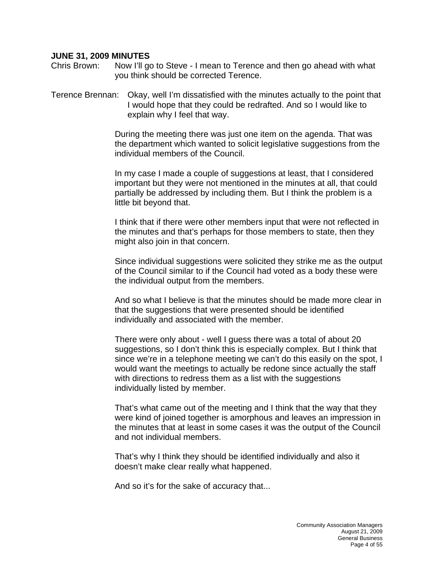#### **JUNE 31, 2009 MINUTES**

Chris Brown: Now I'll go to Steve - I mean to Terence and then go ahead with what you think should be corrected Terence.

Terence Brennan: Okay, well I'm dissatisfied with the minutes actually to the point that I would hope that they could be redrafted. And so I would like to explain why I feel that way.

> During the meeting there was just one item on the agenda. That was the department which wanted to solicit legislative suggestions from the individual members of the Council.

> In my case I made a couple of suggestions at least, that I considered important but they were not mentioned in the minutes at all, that could partially be addressed by including them. But I think the problem is a little bit beyond that.

> I think that if there were other members input that were not reflected in the minutes and that's perhaps for those members to state, then they might also join in that concern.

Since individual suggestions were solicited they strike me as the output of the Council similar to if the Council had voted as a body these were the individual output from the members.

And so what I believe is that the minutes should be made more clear in that the suggestions that were presented should be identified individually and associated with the member.

There were only about - well I guess there was a total of about 20 suggestions, so I don't think this is especially complex. But I think that since we're in a telephone meeting we can't do this easily on the spot, I would want the meetings to actually be redone since actually the staff with directions to redress them as a list with the suggestions individually listed by member.

That's what came out of the meeting and I think that the way that they were kind of joined together is amorphous and leaves an impression in the minutes that at least in some cases it was the output of the Council and not individual members.

That's why I think they should be identified individually and also it doesn't make clear really what happened.

And so it's for the sake of accuracy that...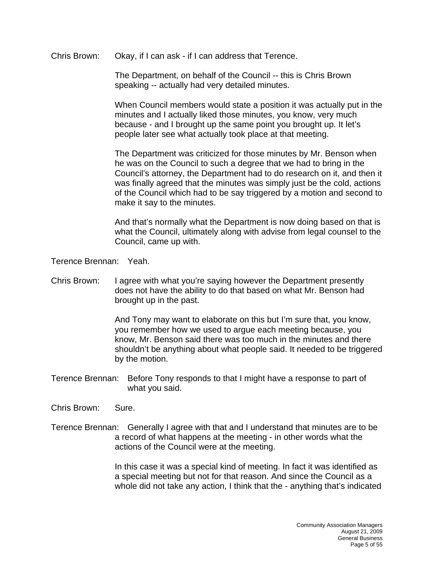Chris Brown: Okay, if I can ask - if I can address that Terence.

The Department, on behalf of the Council -- this is Chris Brown speaking -- actually had very detailed minutes.

When Council members would state a position it was actually put in the minutes and I actually liked those minutes, you know, very much because - and I brought up the same point you brought up. It let's people later see what actually took place at that meeting.

The Department was criticized for those minutes by Mr. Benson when he was on the Council to such a degree that we had to bring in the Council's attorney, the Department had to do research on it, and then it was finally agreed that the minutes was simply just be the cold, actions of the Council which had to be say triggered by a motion and second to make it say to the minutes.

And that's normally what the Department is now doing based on that is what the Council, ultimately along with advise from legal counsel to the Council, came up with.

Terence Brennan: Yeah.

Chris Brown: I agree with what you're saying however the Department presently does not have the ability to do that based on what Mr. Benson had brought up in the past.

> And Tony may want to elaborate on this but I'm sure that, you know, you remember how we used to argue each meeting because, you know, Mr. Benson said there was too much in the minutes and there shouldn't be anything about what people said. It needed to be triggered by the motion.

Terence Brennan: Before Tony responds to that I might have a response to part of what you said.

Chris Brown: Sure.

Terence Brennan: Generally I agree with that and I understand that minutes are to be a record of what happens at the meeting - in other words what the actions of the Council were at the meeting.

> In this case it was a special kind of meeting. In fact it was identified as a special meeting but not for that reason. And since the Council as a whole did not take any action, I think that the - anything that's indicated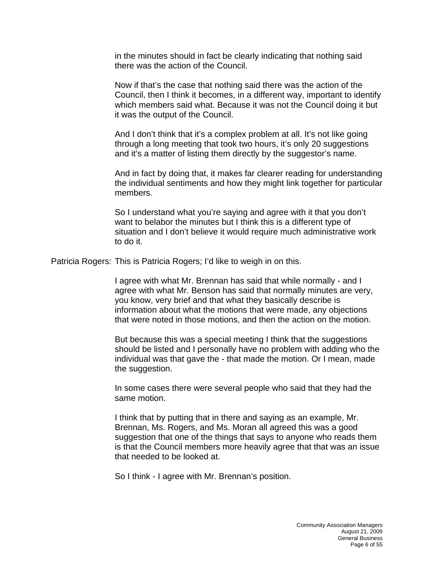in the minutes should in fact be clearly indicating that nothing said there was the action of the Council.

Now if that's the case that nothing said there was the action of the Council, then I think it becomes, in a different way, important to identify which members said what. Because it was not the Council doing it but it was the output of the Council.

And I don't think that it's a complex problem at all. It's not like going through a long meeting that took two hours, it's only 20 suggestions and it's a matter of listing them directly by the suggestor's name.

And in fact by doing that, it makes far clearer reading for understanding the individual sentiments and how they might link together for particular members.

So I understand what you're saying and agree with it that you don't want to belabor the minutes but I think this is a different type of situation and I don't believe it would require much administrative work to do it.

Patricia Rogers: This is Patricia Rogers; I'd like to weigh in on this.

I agree with what Mr. Brennan has said that while normally - and I agree with what Mr. Benson has said that normally minutes are very, you know, very brief and that what they basically describe is information about what the motions that were made, any objections that were noted in those motions, and then the action on the motion.

But because this was a special meeting I think that the suggestions should be listed and I personally have no problem with adding who the individual was that gave the - that made the motion. Or I mean, made the suggestion.

In some cases there were several people who said that they had the same motion.

I think that by putting that in there and saying as an example, Mr. Brennan, Ms. Rogers, and Ms. Moran all agreed this was a good suggestion that one of the things that says to anyone who reads them is that the Council members more heavily agree that that was an issue that needed to be looked at.

So I think - I agree with Mr. Brennan's position.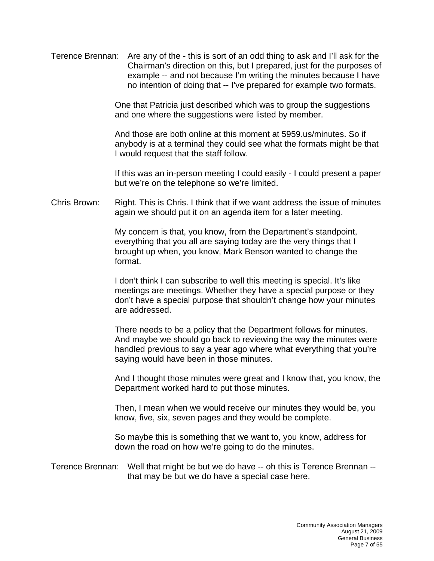Terence Brennan: Are any of the - this is sort of an odd thing to ask and I'll ask for the Chairman's direction on this, but I prepared, just for the purposes of example -- and not because I'm writing the minutes because I have no intention of doing that -- I've prepared for example two formats.

> One that Patricia just described which was to group the suggestions and one where the suggestions were listed by member.

And those are both online at this moment at 5959.us/minutes. So if anybody is at a terminal they could see what the formats might be that I would request that the staff follow.

If this was an in-person meeting I could easily - I could present a paper but we're on the telephone so we're limited.

Chris Brown: Right. This is Chris. I think that if we want address the issue of minutes again we should put it on an agenda item for a later meeting.

> My concern is that, you know, from the Department's standpoint, everything that you all are saying today are the very things that I brought up when, you know, Mark Benson wanted to change the format.

I don't think I can subscribe to well this meeting is special. It's like meetings are meetings. Whether they have a special purpose or they don't have a special purpose that shouldn't change how your minutes are addressed.

There needs to be a policy that the Department follows for minutes. And maybe we should go back to reviewing the way the minutes were handled previous to say a year ago where what everything that you're saying would have been in those minutes.

And I thought those minutes were great and I know that, you know, the Department worked hard to put those minutes.

Then, I mean when we would receive our minutes they would be, you know, five, six, seven pages and they would be complete.

So maybe this is something that we want to, you know, address for down the road on how we're going to do the minutes.

Terence Brennan: Well that might be but we do have -- oh this is Terence Brennan - that may be but we do have a special case here.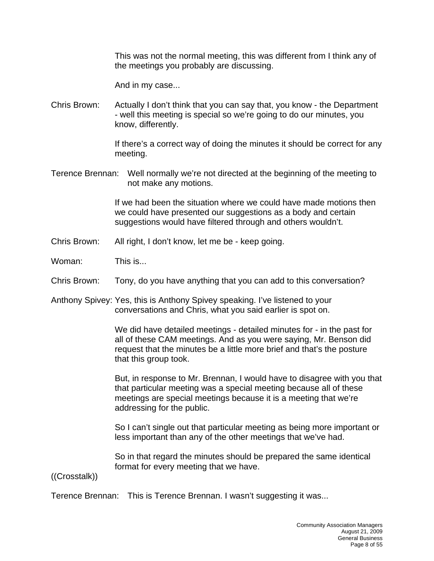This was not the normal meeting, this was different from I think any of the meetings you probably are discussing.

And in my case...

Chris Brown: Actually I don't think that you can say that, you know - the Department - well this meeting is special so we're going to do our minutes, you know, differently.

> If there's a correct way of doing the minutes it should be correct for any meeting.

Terence Brennan: Well normally we're not directed at the beginning of the meeting to not make any motions.

> If we had been the situation where we could have made motions then we could have presented our suggestions as a body and certain suggestions would have filtered through and others wouldn't.

- Chris Brown: All right, I don't know, let me be keep going.
- Woman: This is...
- Chris Brown: Tony, do you have anything that you can add to this conversation?

Anthony Spivey: Yes, this is Anthony Spivey speaking. I've listened to your conversations and Chris, what you said earlier is spot on.

> We did have detailed meetings - detailed minutes for - in the past for all of these CAM meetings. And as you were saying, Mr. Benson did request that the minutes be a little more brief and that's the posture that this group took.

But, in response to Mr. Brennan, I would have to disagree with you that that particular meeting was a special meeting because all of these meetings are special meetings because it is a meeting that we're addressing for the public.

So I can't single out that particular meeting as being more important or less important than any of the other meetings that we've had.

So in that regard the minutes should be prepared the same identical format for every meeting that we have.

((Crosstalk))

Terence Brennan: This is Terence Brennan. I wasn't suggesting it was...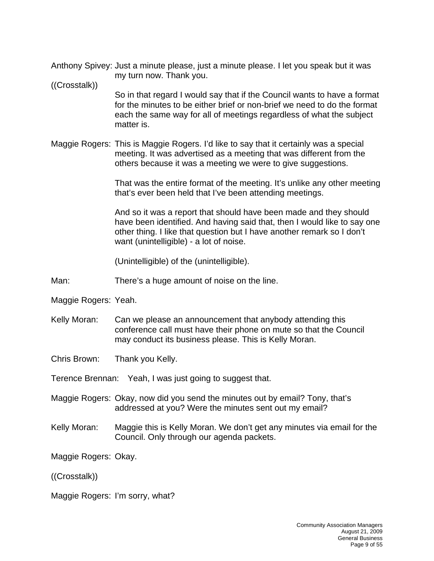Anthony Spivey: Just a minute please, just a minute please. I let you speak but it was my turn now. Thank you.

#### ((Crosstalk))

So in that regard I would say that if the Council wants to have a format for the minutes to be either brief or non-brief we need to do the format each the same way for all of meetings regardless of what the subject matter is.

Maggie Rogers: This is Maggie Rogers. I'd like to say that it certainly was a special meeting. It was advertised as a meeting that was different from the others because it was a meeting we were to give suggestions.

> That was the entire format of the meeting. It's unlike any other meeting that's ever been held that I've been attending meetings.

> And so it was a report that should have been made and they should have been identified. And having said that, then I would like to say one other thing. I like that question but I have another remark so I don't want (unintelligible) - a lot of noise.

(Unintelligible) of the (unintelligible).

- Man: There's a huge amount of noise on the line.
- Maggie Rogers: Yeah.
- Kelly Moran: Can we please an announcement that anybody attending this conference call must have their phone on mute so that the Council may conduct its business please. This is Kelly Moran.

Chris Brown: Thank you Kelly.

Terence Brennan: Yeah, I was just going to suggest that.

- Maggie Rogers: Okay, now did you send the minutes out by email? Tony, that's addressed at you? Were the minutes sent out my email?
- Kelly Moran: Maggie this is Kelly Moran. We don't get any minutes via email for the Council. Only through our agenda packets.

Maggie Rogers: Okay.

((Crosstalk))

Maggie Rogers: I'm sorry, what?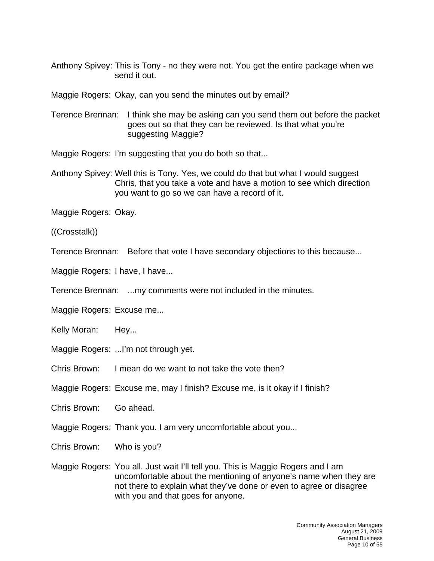Anthony Spivey: This is Tony - no they were not. You get the entire package when we send it out.

Maggie Rogers: Okay, can you send the minutes out by email?

Terence Brennan: I think she may be asking can you send them out before the packet goes out so that they can be reviewed. Is that what you're suggesting Maggie?

Maggie Rogers: I'm suggesting that you do both so that...

Anthony Spivey: Well this is Tony. Yes, we could do that but what I would suggest Chris, that you take a vote and have a motion to see which direction you want to go so we can have a record of it.

Maggie Rogers: Okay.

((Crosstalk))

Terence Brennan: Before that vote I have secondary objections to this because...

Maggie Rogers: I have, I have...

Terence Brennan: ...my comments were not included in the minutes.

Maggie Rogers: Excuse me...

Kelly Moran: Hey...

Maggie Rogers: ...I'm not through yet.

Chris Brown: I mean do we want to not take the vote then?

Maggie Rogers: Excuse me, may I finish? Excuse me, is it okay if I finish?

Chris Brown: Go ahead.

Maggie Rogers: Thank you. I am very uncomfortable about you...

Chris Brown: Who is you?

Maggie Rogers: You all. Just wait I'll tell you. This is Maggie Rogers and I am uncomfortable about the mentioning of anyone's name when they are not there to explain what they've done or even to agree or disagree with you and that goes for anyone.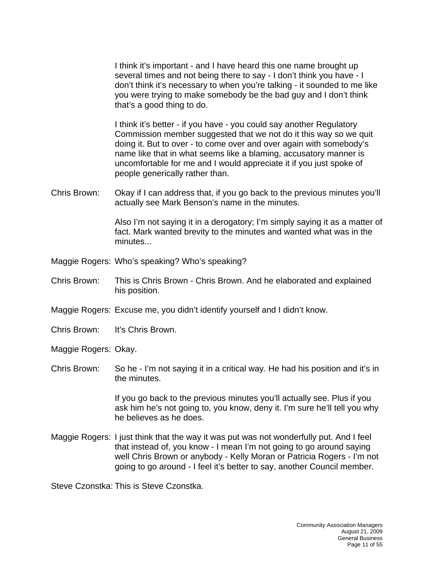I think it's important - and I have heard this one name brought up several times and not being there to say - I don't think you have - I don't think it's necessary to when you're talking - it sounded to me like you were trying to make somebody be the bad guy and I don't think that's a good thing to do.

I think it's better - if you have - you could say another Regulatory Commission member suggested that we not do it this way so we quit doing it. But to over - to come over and over again with somebody's name like that in what seems like a blaming, accusatory manner is uncomfortable for me and I would appreciate it if you just spoke of people generically rather than.

Chris Brown: Okay if I can address that, if you go back to the previous minutes you'll actually see Mark Benson's name in the minutes.

> Also I'm not saying it in a derogatory; I'm simply saying it as a matter of fact. Mark wanted brevity to the minutes and wanted what was in the minutes...

- Maggie Rogers: Who's speaking? Who's speaking?
- Chris Brown: This is Chris Brown Chris Brown. And he elaborated and explained his position.
- Maggie Rogers: Excuse me, you didn't identify yourself and I didn't know.
- Chris Brown: It's Chris Brown.

Maggie Rogers: Okay.

Chris Brown: So he - I'm not saying it in a critical way. He had his position and it's in the minutes.

> If you go back to the previous minutes you'll actually see. Plus if you ask him he's not going to, you know, deny it. I'm sure he'll tell you why he believes as he does.

Maggie Rogers: I just think that the way it was put was not wonderfully put. And I feel that instead of, you know - I mean I'm not going to go around saying well Chris Brown or anybody - Kelly Moran or Patricia Rogers - I'm not going to go around - I feel it's better to say, another Council member.

Steve Czonstka: This is Steve Czonstka.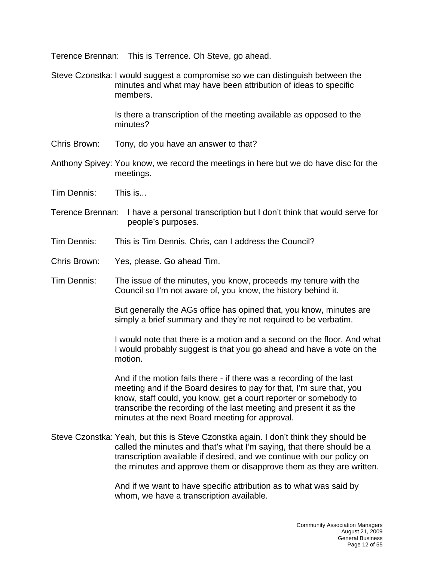Terence Brennan: This is Terrence. Oh Steve, go ahead.

Steve Czonstka: I would suggest a compromise so we can distinguish between the minutes and what may have been attribution of ideas to specific members.

> Is there a transcription of the meeting available as opposed to the minutes?

- Chris Brown: Tony, do you have an answer to that?
- Anthony Spivey: You know, we record the meetings in here but we do have disc for the meetings.
- Tim Dennis: This is...
- Terence Brennan: I have a personal transcription but I don't think that would serve for people's purposes.
- Tim Dennis: This is Tim Dennis. Chris, can I address the Council?
- Chris Brown: Yes, please. Go ahead Tim.
- Tim Dennis: The issue of the minutes, you know, proceeds my tenure with the Council so I'm not aware of, you know, the history behind it.

But generally the AGs office has opined that, you know, minutes are simply a brief summary and they're not required to be verbatim.

I would note that there is a motion and a second on the floor. And what I would probably suggest is that you go ahead and have a vote on the motion.

And if the motion fails there - if there was a recording of the last meeting and if the Board desires to pay for that, I'm sure that, you know, staff could, you know, get a court reporter or somebody to transcribe the recording of the last meeting and present it as the minutes at the next Board meeting for approval.

Steve Czonstka: Yeah, but this is Steve Czonstka again. I don't think they should be called the minutes and that's what I'm saying, that there should be a transcription available if desired, and we continue with our policy on the minutes and approve them or disapprove them as they are written.

> And if we want to have specific attribution as to what was said by whom, we have a transcription available.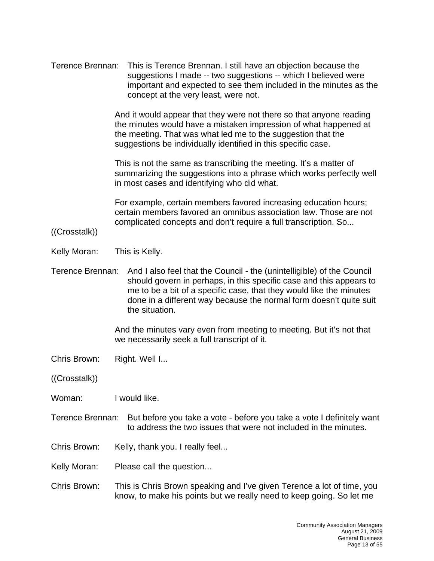| Terence Brennan: | This is Terence Brennan. I still have an objection because the<br>suggestions I made -- two suggestions -- which I believed were<br>important and expected to see them included in the minutes as the<br>concept at the very least, were not.                                                                |
|------------------|--------------------------------------------------------------------------------------------------------------------------------------------------------------------------------------------------------------------------------------------------------------------------------------------------------------|
|                  | And it would appear that they were not there so that anyone reading<br>the minutes would have a mistaken impression of what happened at<br>the meeting. That was what led me to the suggestion that the<br>suggestions be individually identified in this specific case.                                     |
|                  | This is not the same as transcribing the meeting. It's a matter of<br>summarizing the suggestions into a phrase which works perfectly well<br>in most cases and identifying who did what.                                                                                                                    |
| ((Crosstalk))    | For example, certain members favored increasing education hours;<br>certain members favored an omnibus association law. Those are not<br>complicated concepts and don't require a full transcription. So                                                                                                     |
| Kelly Moran:     | This is Kelly.                                                                                                                                                                                                                                                                                               |
|                  |                                                                                                                                                                                                                                                                                                              |
| Terence Brennan: | And I also feel that the Council - the (unintelligible) of the Council<br>should govern in perhaps, in this specific case and this appears to<br>me to be a bit of a specific case, that they would like the minutes<br>done in a different way because the normal form doesn't quite suit<br>the situation. |
|                  | And the minutes vary even from meeting to meeting. But it's not that<br>we necessarily seek a full transcript of it.                                                                                                                                                                                         |
| Chris Brown:     | Right. Well I                                                                                                                                                                                                                                                                                                |
| ((Crosstalk))    |                                                                                                                                                                                                                                                                                                              |
| Woman:           | I would like.                                                                                                                                                                                                                                                                                                |
| Terence Brennan: | But before you take a vote - before you take a vote I definitely want<br>to address the two issues that were not included in the minutes.                                                                                                                                                                    |
| Chris Brown:     | Kelly, thank you. I really feel                                                                                                                                                                                                                                                                              |
| Kelly Moran:     | Please call the question                                                                                                                                                                                                                                                                                     |
| Chris Brown:     | This is Chris Brown speaking and I've given Terence a lot of time, you<br>know, to make his points but we really need to keep going. So let me                                                                                                                                                               |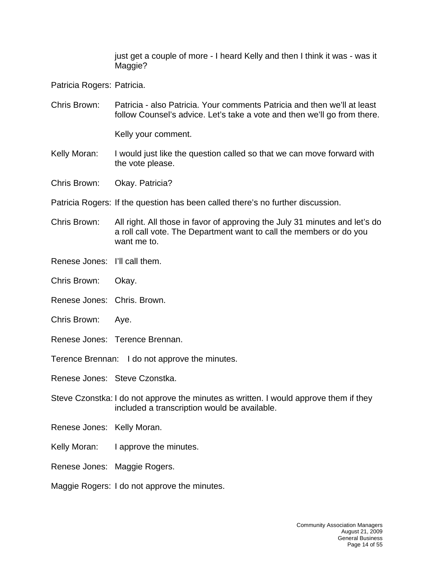just get a couple of more - I heard Kelly and then I think it was - was it Maggie?

Patricia Rogers: Patricia.

Chris Brown: Patricia - also Patricia. Your comments Patricia and then we'll at least follow Counsel's advice. Let's take a vote and then we'll go from there.

Kelly your comment.

- Kelly Moran: I would just like the question called so that we can move forward with the vote please.
- Chris Brown: Okay. Patricia?
- Patricia Rogers: If the question has been called there's no further discussion.
- Chris Brown: All right. All those in favor of approving the July 31 minutes and let's do a roll call vote. The Department want to call the members or do you want me to.
- Renese Jones: I'll call them.
- Chris Brown: Okay.
- Renese Jones: Chris. Brown.
- Chris Brown: Aye.
- Renese Jones: Terence Brennan.
- Terence Brennan: I do not approve the minutes.

Renese Jones: Steve Czonstka.

- Steve Czonstka: I do not approve the minutes as written. I would approve them if they included a transcription would be available.
- Renese Jones: Kelly Moran.
- Kelly Moran: I approve the minutes.
- Renese Jones: Maggie Rogers.
- Maggie Rogers: I do not approve the minutes.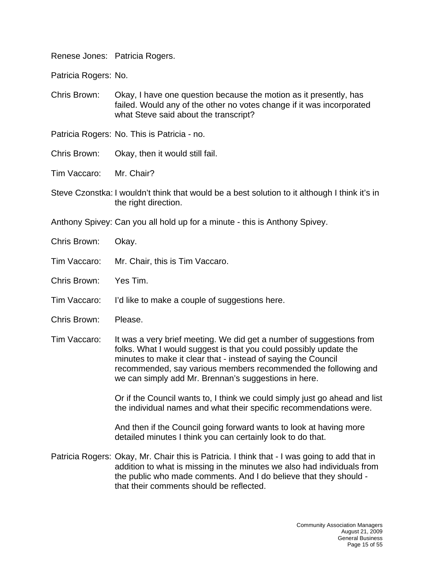Renese Jones: Patricia Rogers.

Patricia Rogers: No.

Chris Brown: Okay, I have one question because the motion as it presently, has failed. Would any of the other no votes change if it was incorporated what Steve said about the transcript?

Patricia Rogers: No. This is Patricia - no.

Chris Brown: Okay, then it would still fail.

Tim Vaccaro: Mr. Chair?

- Steve Czonstka: I wouldn't think that would be a best solution to it although I think it's in the right direction.
- Anthony Spivey: Can you all hold up for a minute this is Anthony Spivey.
- Chris Brown: Okay.
- Tim Vaccaro: Mr. Chair, this is Tim Vaccaro.

Chris Brown: Yes Tim.

- Tim Vaccaro: I'd like to make a couple of suggestions here.
- Chris Brown: Please.
- Tim Vaccaro: It was a very brief meeting. We did get a number of suggestions from folks. What I would suggest is that you could possibly update the minutes to make it clear that - instead of saying the Council recommended, say various members recommended the following and we can simply add Mr. Brennan's suggestions in here.

Or if the Council wants to, I think we could simply just go ahead and list the individual names and what their specific recommendations were.

And then if the Council going forward wants to look at having more detailed minutes I think you can certainly look to do that.

Patricia Rogers: Okay, Mr. Chair this is Patricia. I think that - I was going to add that in addition to what is missing in the minutes we also had individuals from the public who made comments. And I do believe that they should that their comments should be reflected.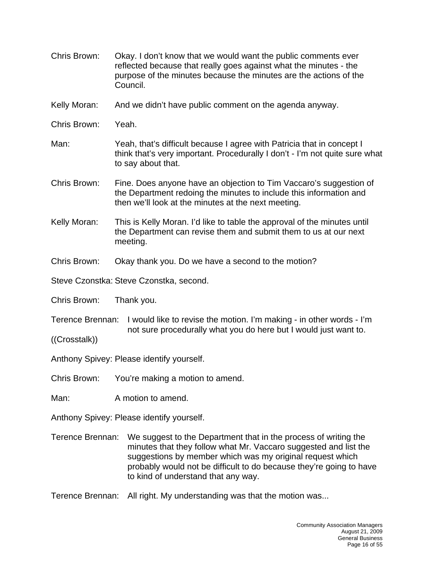- Chris Brown: Okay. I don't know that we would want the public comments ever reflected because that really goes against what the minutes - the purpose of the minutes because the minutes are the actions of the Council.
- Kelly Moran: And we didn't have public comment on the agenda anyway.
- Chris Brown: Yeah.
- Man: Yeah, that's difficult because I agree with Patricia that in concept I think that's very important. Procedurally I don't - I'm not quite sure what to say about that.
- Chris Brown: Fine. Does anyone have an objection to Tim Vaccaro's suggestion of the Department redoing the minutes to include this information and then we'll look at the minutes at the next meeting.
- Kelly Moran: This is Kelly Moran. I'd like to table the approval of the minutes until the Department can revise them and submit them to us at our next meeting.
- Chris Brown: Okay thank you. Do we have a second to the motion?
- Steve Czonstka: Steve Czonstka, second.
- Chris Brown: Thank you.
- Terence Brennan: I would like to revise the motion. I'm making in other words I'm not sure procedurally what you do here but I would just want to.
- ((Crosstalk))

Anthony Spivey: Please identify yourself.

Chris Brown: You're making a motion to amend.

Man: A motion to amend.

Anthony Spivey: Please identify yourself.

- Terence Brennan: We suggest to the Department that in the process of writing the minutes that they follow what Mr. Vaccaro suggested and list the suggestions by member which was my original request which probably would not be difficult to do because they're going to have to kind of understand that any way.
- Terence Brennan: All right. My understanding was that the motion was...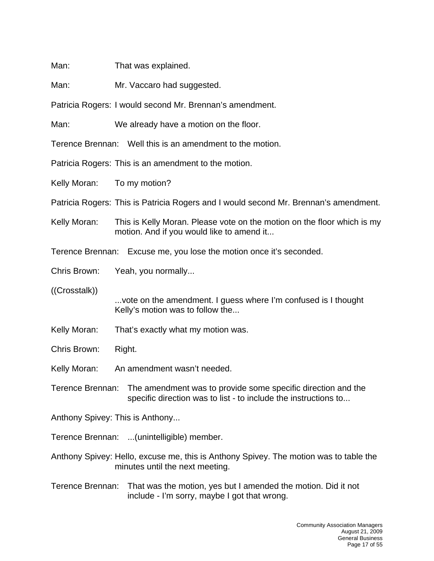Man: That was explained.

Man: Mr. Vaccaro had suggested.

Patricia Rogers: I would second Mr. Brennan's amendment.

Man: We already have a motion on the floor.

Terence Brennan: Well this is an amendment to the motion.

Patricia Rogers: This is an amendment to the motion.

Kelly Moran: To my motion?

Patricia Rogers: This is Patricia Rogers and I would second Mr. Brennan's amendment.

Kelly Moran: This is Kelly Moran. Please vote on the motion on the floor which is my motion. And if you would like to amend it...

Terence Brennan: Excuse me, you lose the motion once it's seconded.

Chris Brown: Yeah, you normally...

((Crosstalk))

...vote on the amendment. I guess where I'm confused is I thought Kelly's motion was to follow the...

Kelly Moran: That's exactly what my motion was.

Chris Brown: Right.

Kelly Moran: An amendment wasn't needed.

Terence Brennan: The amendment was to provide some specific direction and the specific direction was to list - to include the instructions to...

Anthony Spivey: This is Anthony...

Terence Brennan: ...(unintelligible) member.

Anthony Spivey: Hello, excuse me, this is Anthony Spivey. The motion was to table the minutes until the next meeting.

Terence Brennan: That was the motion, yes but I amended the motion. Did it not include - I'm sorry, maybe I got that wrong.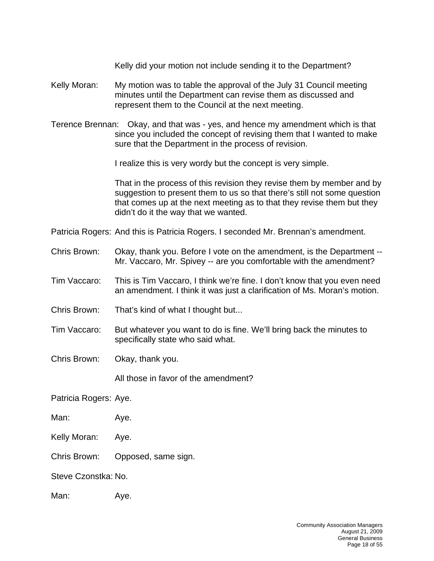Kelly did your motion not include sending it to the Department?

- Kelly Moran: My motion was to table the approval of the July 31 Council meeting minutes until the Department can revise them as discussed and represent them to the Council at the next meeting.
- Terence Brennan: Okay, and that was yes, and hence my amendment which is that since you included the concept of revising them that I wanted to make sure that the Department in the process of revision.

I realize this is very wordy but the concept is very simple.

That in the process of this revision they revise them by member and by suggestion to present them to us so that there's still not some question that comes up at the next meeting as to that they revise them but they didn't do it the way that we wanted.

Patricia Rogers: And this is Patricia Rogers. I seconded Mr. Brennan's amendment.

- Chris Brown: Okay, thank you. Before I vote on the amendment, is the Department -- Mr. Vaccaro, Mr. Spivey -- are you comfortable with the amendment?
- Tim Vaccaro: This is Tim Vaccaro, I think we're fine. I don't know that you even need an amendment. I think it was just a clarification of Ms. Moran's motion.
- Chris Brown: That's kind of what I thought but...
- Tim Vaccaro: But whatever you want to do is fine. We'll bring back the minutes to specifically state who said what.
- Chris Brown: Okay, thank you.

All those in favor of the amendment?

Patricia Rogers: Aye.

- Man: Aye.
- Kelly Moran: Aye.
- Chris Brown: Opposed, same sign.

Steve Czonstka: No.

Man: Aye.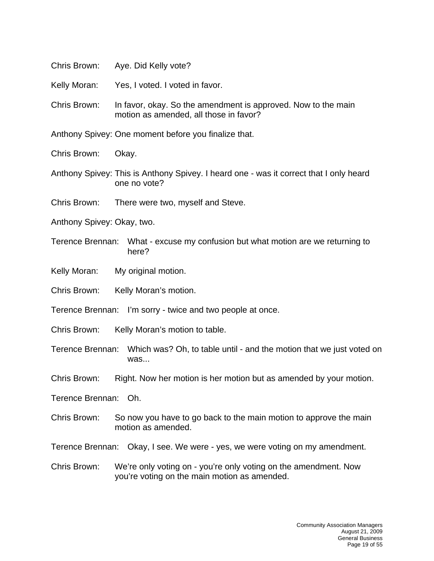Chris Brown: Aye. Did Kelly vote?

Kelly Moran: Yes, I voted. I voted in favor.

Chris Brown: In favor, okay. So the amendment is approved. Now to the main motion as amended, all those in favor?

Anthony Spivey: One moment before you finalize that.

Chris Brown: Okay.

- Anthony Spivey: This is Anthony Spivey. I heard one was it correct that I only heard one no vote?
- Chris Brown: There were two, myself and Steve.
- Anthony Spivey: Okay, two.
- Terence Brennan: What excuse my confusion but what motion are we returning to here?
- Kelly Moran: My original motion.
- Chris Brown: Kelly Moran's motion.
- Terence Brennan: I'm sorry twice and two people at once.
- Chris Brown: Kelly Moran's motion to table.
- Terence Brennan: Which was? Oh, to table until and the motion that we just voted on was...
- Chris Brown: Right. Now her motion is her motion but as amended by your motion.

Terence Brennan: Oh.

Chris Brown: So now you have to go back to the main motion to approve the main motion as amended.

Terence Brennan: Okay, I see. We were - yes, we were voting on my amendment.

Chris Brown: We're only voting on - you're only voting on the amendment. Now you're voting on the main motion as amended.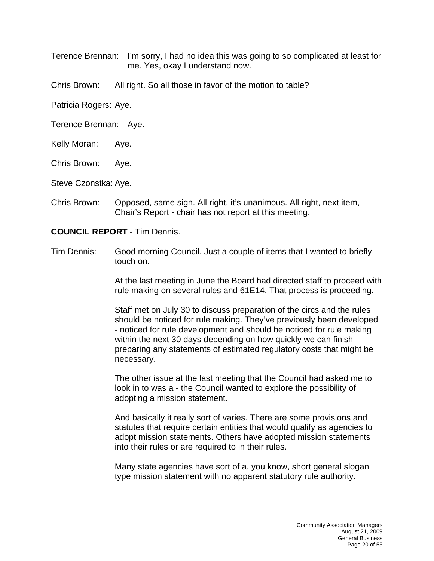Terence Brennan: I'm sorry, I had no idea this was going to so complicated at least for me. Yes, okay I understand now.

Chris Brown: All right. So all those in favor of the motion to table?

Patricia Rogers: Aye.

Terence Brennan: Aye.

- Kelly Moran: Aye.
- Chris Brown: Aye.

Steve Czonstka: Aye.

Chris Brown: Opposed, same sign. All right, it's unanimous. All right, next item, Chair's Report - chair has not report at this meeting.

## **COUNCIL REPORT** - Tim Dennis.

Tim Dennis: Good morning Council. Just a couple of items that I wanted to briefly touch on.

> At the last meeting in June the Board had directed staff to proceed with rule making on several rules and 61E14. That process is proceeding.

Staff met on July 30 to discuss preparation of the circs and the rules should be noticed for rule making. They've previously been developed - noticed for rule development and should be noticed for rule making within the next 30 days depending on how quickly we can finish preparing any statements of estimated regulatory costs that might be necessary.

The other issue at the last meeting that the Council had asked me to look in to was a - the Council wanted to explore the possibility of adopting a mission statement.

And basically it really sort of varies. There are some provisions and statutes that require certain entities that would qualify as agencies to adopt mission statements. Others have adopted mission statements into their rules or are required to in their rules.

Many state agencies have sort of a, you know, short general slogan type mission statement with no apparent statutory rule authority.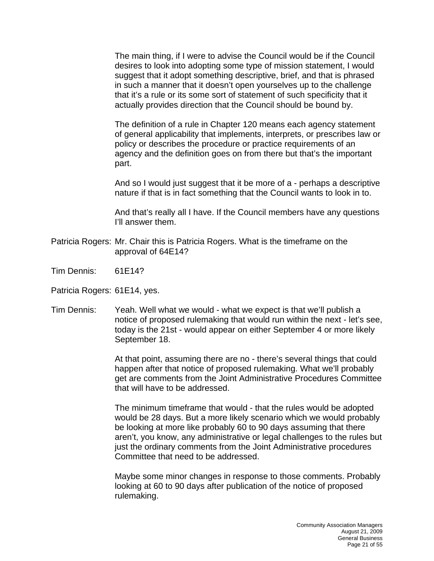The main thing, if I were to advise the Council would be if the Council desires to look into adopting some type of mission statement, I would suggest that it adopt something descriptive, brief, and that is phrased in such a manner that it doesn't open yourselves up to the challenge that it's a rule or its some sort of statement of such specificity that it actually provides direction that the Council should be bound by.

The definition of a rule in Chapter 120 means each agency statement of general applicability that implements, interprets, or prescribes law or policy or describes the procedure or practice requirements of an agency and the definition goes on from there but that's the important part.

And so I would just suggest that it be more of a - perhaps a descriptive nature if that is in fact something that the Council wants to look in to.

And that's really all I have. If the Council members have any questions I'll answer them.

- Patricia Rogers: Mr. Chair this is Patricia Rogers. What is the timeframe on the approval of 64E14?
- Tim Dennis: 61E14?

Patricia Rogers: 61E14, yes.

Tim Dennis: Yeah. Well what we would - what we expect is that we'll publish a notice of proposed rulemaking that would run within the next - let's see, today is the 21st - would appear on either September 4 or more likely September 18.

> At that point, assuming there are no - there's several things that could happen after that notice of proposed rulemaking. What we'll probably get are comments from the Joint Administrative Procedures Committee that will have to be addressed.

> The minimum timeframe that would - that the rules would be adopted would be 28 days. But a more likely scenario which we would probably be looking at more like probably 60 to 90 days assuming that there aren't, you know, any administrative or legal challenges to the rules but just the ordinary comments from the Joint Administrative procedures Committee that need to be addressed.

> Maybe some minor changes in response to those comments. Probably looking at 60 to 90 days after publication of the notice of proposed rulemaking.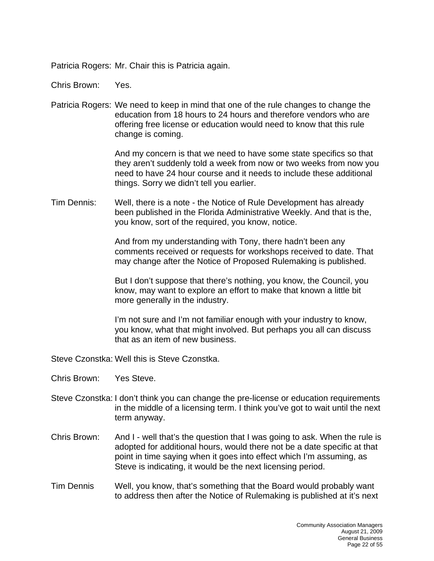Patricia Rogers: Mr. Chair this is Patricia again.

Chris Brown: Yes.

Patricia Rogers: We need to keep in mind that one of the rule changes to change the education from 18 hours to 24 hours and therefore vendors who are offering free license or education would need to know that this rule change is coming.

> And my concern is that we need to have some state specifics so that they aren't suddenly told a week from now or two weeks from now you need to have 24 hour course and it needs to include these additional things. Sorry we didn't tell you earlier.

Tim Dennis: Well, there is a note - the Notice of Rule Development has already been published in the Florida Administrative Weekly. And that is the, you know, sort of the required, you know, notice.

> And from my understanding with Tony, there hadn't been any comments received or requests for workshops received to date. That may change after the Notice of Proposed Rulemaking is published.

But I don't suppose that there's nothing, you know, the Council, you know, may want to explore an effort to make that known a little bit more generally in the industry.

I'm not sure and I'm not familiar enough with your industry to know, you know, what that might involved. But perhaps you all can discuss that as an item of new business.

Steve Czonstka: Well this is Steve Czonstka.

- Chris Brown: Yes Steve.
- Steve Czonstka: I don't think you can change the pre-license or education requirements in the middle of a licensing term. I think you've got to wait until the next term anyway.
- Chris Brown: And I well that's the question that I was going to ask. When the rule is adopted for additional hours, would there not be a date specific at that point in time saying when it goes into effect which I'm assuming, as Steve is indicating, it would be the next licensing period.
- Tim Dennis Well, you know, that's something that the Board would probably want to address then after the Notice of Rulemaking is published at it's next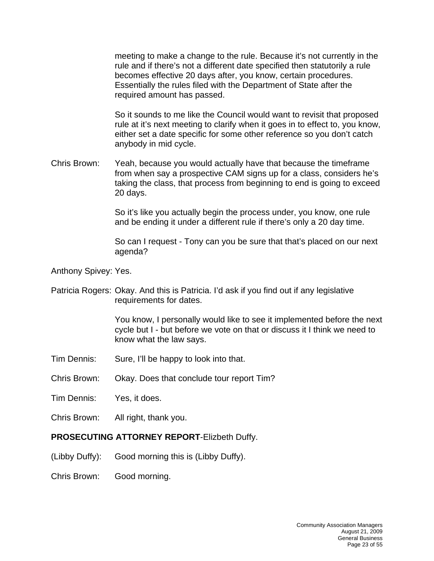meeting to make a change to the rule. Because it's not currently in the rule and if there's not a different date specified then statutorily a rule becomes effective 20 days after, you know, certain procedures. Essentially the rules filed with the Department of State after the required amount has passed.

So it sounds to me like the Council would want to revisit that proposed rule at it's next meeting to clarify when it goes in to effect to, you know, either set a date specific for some other reference so you don't catch anybody in mid cycle.

Chris Brown: Yeah, because you would actually have that because the timeframe from when say a prospective CAM signs up for a class, considers he's taking the class, that process from beginning to end is going to exceed 20 days.

> So it's like you actually begin the process under, you know, one rule and be ending it under a different rule if there's only a 20 day time.

So can I request - Tony can you be sure that that's placed on our next agenda?

Anthony Spivey: Yes.

Patricia Rogers: Okay. And this is Patricia. I'd ask if you find out if any legislative requirements for dates.

> You know, I personally would like to see it implemented before the next cycle but I - but before we vote on that or discuss it I think we need to know what the law says.

- Tim Dennis: Sure, I'll be happy to look into that.
- Chris Brown: Okay. Does that conclude tour report Tim?
- Tim Dennis: Yes, it does.
- Chris Brown: All right, thank you.

#### **PROSECUTING ATTORNEY REPORT**-Elizbeth Duffy.

- (Libby Duffy): Good morning this is (Libby Duffy).
- Chris Brown: Good morning.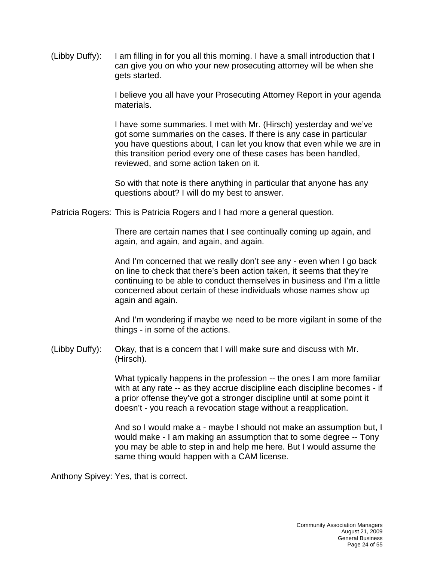(Libby Duffy): I am filling in for you all this morning. I have a small introduction that I can give you on who your new prosecuting attorney will be when she gets started.

> I believe you all have your Prosecuting Attorney Report in your agenda materials.

> I have some summaries. I met with Mr. (Hirsch) yesterday and we've got some summaries on the cases. If there is any case in particular you have questions about, I can let you know that even while we are in this transition period every one of these cases has been handled, reviewed, and some action taken on it.

So with that note is there anything in particular that anyone has any questions about? I will do my best to answer.

Patricia Rogers: This is Patricia Rogers and I had more a general question.

There are certain names that I see continually coming up again, and again, and again, and again, and again.

And I'm concerned that we really don't see any - even when I go back on line to check that there's been action taken, it seems that they're continuing to be able to conduct themselves in business and I'm a little concerned about certain of these individuals whose names show up again and again.

And I'm wondering if maybe we need to be more vigilant in some of the things - in some of the actions.

(Libby Duffy): Okay, that is a concern that I will make sure and discuss with Mr. (Hirsch).

> What typically happens in the profession -- the ones I am more familiar with at any rate -- as they accrue discipline each discipline becomes - if a prior offense they've got a stronger discipline until at some point it doesn't - you reach a revocation stage without a reapplication.

> And so I would make a - maybe I should not make an assumption but, I would make - I am making an assumption that to some degree -- Tony you may be able to step in and help me here. But I would assume the same thing would happen with a CAM license.

Anthony Spivey: Yes, that is correct.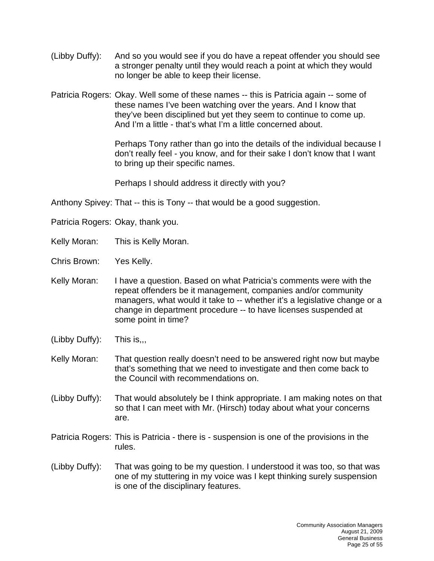- (Libby Duffy): And so you would see if you do have a repeat offender you should see a stronger penalty until they would reach a point at which they would no longer be able to keep their license.
- Patricia Rogers: Okay. Well some of these names -- this is Patricia again -- some of these names I've been watching over the years. And I know that they've been disciplined but yet they seem to continue to come up. And I'm a little - that's what I'm a little concerned about.

Perhaps Tony rather than go into the details of the individual because I don't really feel - you know, and for their sake I don't know that I want to bring up their specific names.

Perhaps I should address it directly with you?

Anthony Spivey: That -- this is Tony -- that would be a good suggestion.

- Patricia Rogers: Okay, thank you.
- Kelly Moran: This is Kelly Moran.
- Chris Brown: Yes Kelly.
- Kelly Moran: I have a question. Based on what Patricia's comments were with the repeat offenders be it management, companies and/or community managers, what would it take to -- whether it's a legislative change or a change in department procedure -- to have licenses suspended at some point in time?
- (Libby Duffy): This is,,,
- Kelly Moran: That question really doesn't need to be answered right now but maybe that's something that we need to investigate and then come back to the Council with recommendations on.
- (Libby Duffy): That would absolutely be I think appropriate. I am making notes on that so that I can meet with Mr. (Hirsch) today about what your concerns are.
- Patricia Rogers: This is Patricia there is suspension is one of the provisions in the rules.
- (Libby Duffy): That was going to be my question. I understood it was too, so that was one of my stuttering in my voice was I kept thinking surely suspension is one of the disciplinary features.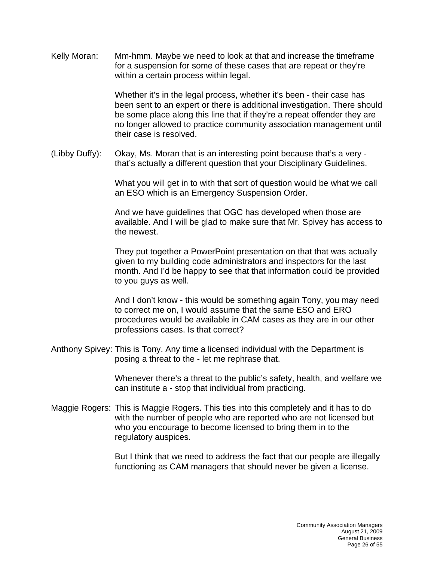Kelly Moran: Mm-hmm. Maybe we need to look at that and increase the timeframe for a suspension for some of these cases that are repeat or they're within a certain process within legal.

> Whether it's in the legal process, whether it's been - their case has been sent to an expert or there is additional investigation. There should be some place along this line that if they're a repeat offender they are no longer allowed to practice community association management until their case is resolved.

(Libby Duffy): Okay, Ms. Moran that is an interesting point because that's a very that's actually a different question that your Disciplinary Guidelines.

> What you will get in to with that sort of question would be what we call an ESO which is an Emergency Suspension Order.

And we have guidelines that OGC has developed when those are available. And I will be glad to make sure that Mr. Spivey has access to the newest.

They put together a PowerPoint presentation on that that was actually given to my building code administrators and inspectors for the last month. And I'd be happy to see that that information could be provided to you guys as well.

And I don't know - this would be something again Tony, you may need to correct me on, I would assume that the same ESO and ERO procedures would be available in CAM cases as they are in our other professions cases. Is that correct?

Anthony Spivey: This is Tony. Any time a licensed individual with the Department is posing a threat to the - let me rephrase that.

> Whenever there's a threat to the public's safety, health, and welfare we can institute a - stop that individual from practicing.

Maggie Rogers: This is Maggie Rogers. This ties into this completely and it has to do with the number of people who are reported who are not licensed but who you encourage to become licensed to bring them in to the regulatory auspices.

> But I think that we need to address the fact that our people are illegally functioning as CAM managers that should never be given a license.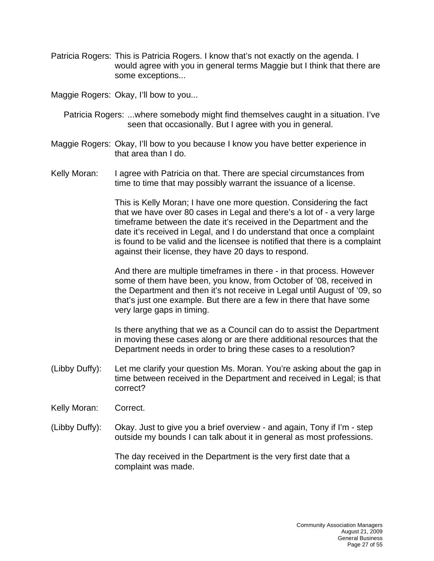Patricia Rogers: This is Patricia Rogers. I know that's not exactly on the agenda. I would agree with you in general terms Maggie but I think that there are some exceptions...

Maggie Rogers: Okay, I'll bow to you...

- Patricia Rogers: ...where somebody might find themselves caught in a situation. I've seen that occasionally. But I agree with you in general.
- Maggie Rogers: Okay, I'll bow to you because I know you have better experience in that area than I do.
- Kelly Moran: I agree with Patricia on that. There are special circumstances from time to time that may possibly warrant the issuance of a license.

This is Kelly Moran; I have one more question. Considering the fact that we have over 80 cases in Legal and there's a lot of - a very large timeframe between the date it's received in the Department and the date it's received in Legal, and I do understand that once a complaint is found to be valid and the licensee is notified that there is a complaint against their license, they have 20 days to respond.

And there are multiple timeframes in there - in that process. However some of them have been, you know, from October of '08, received in the Department and then it's not receive in Legal until August of '09, so that's just one example. But there are a few in there that have some very large gaps in timing.

Is there anything that we as a Council can do to assist the Department in moving these cases along or are there additional resources that the Department needs in order to bring these cases to a resolution?

- (Libby Duffy): Let me clarify your question Ms. Moran. You're asking about the gap in time between received in the Department and received in Legal; is that correct?
- Kelly Moran: Correct.
- (Libby Duffy): Okay. Just to give you a brief overview and again, Tony if I'm step outside my bounds I can talk about it in general as most professions.

The day received in the Department is the very first date that a complaint was made.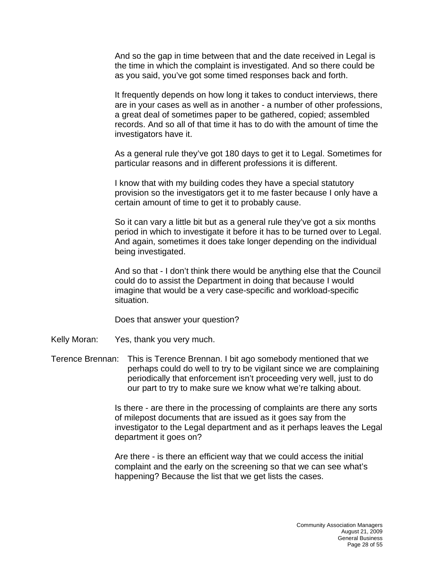And so the gap in time between that and the date received in Legal is the time in which the complaint is investigated. And so there could be as you said, you've got some timed responses back and forth.

It frequently depends on how long it takes to conduct interviews, there are in your cases as well as in another - a number of other professions, a great deal of sometimes paper to be gathered, copied; assembled records. And so all of that time it has to do with the amount of time the investigators have it.

As a general rule they've got 180 days to get it to Legal. Sometimes for particular reasons and in different professions it is different.

I know that with my building codes they have a special statutory provision so the investigators get it to me faster because I only have a certain amount of time to get it to probably cause.

So it can vary a little bit but as a general rule they've got a six months period in which to investigate it before it has to be turned over to Legal. And again, sometimes it does take longer depending on the individual being investigated.

And so that - I don't think there would be anything else that the Council could do to assist the Department in doing that because I would imagine that would be a very case-specific and workload-specific situation.

Does that answer your question?

Kelly Moran: Yes, thank you very much.

Terence Brennan: This is Terence Brennan. I bit ago somebody mentioned that we perhaps could do well to try to be vigilant since we are complaining periodically that enforcement isn't proceeding very well, just to do our part to try to make sure we know what we're talking about.

> Is there - are there in the processing of complaints are there any sorts of milepost documents that are issued as it goes say from the investigator to the Legal department and as it perhaps leaves the Legal department it goes on?

Are there - is there an efficient way that we could access the initial complaint and the early on the screening so that we can see what's happening? Because the list that we get lists the cases.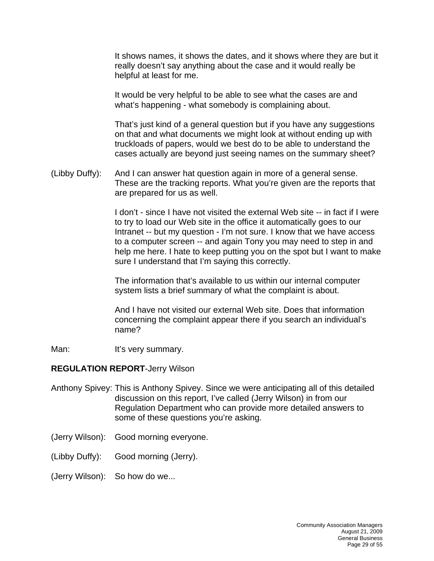It shows names, it shows the dates, and it shows where they are but it really doesn't say anything about the case and it would really be helpful at least for me.

It would be very helpful to be able to see what the cases are and what's happening - what somebody is complaining about.

That's just kind of a general question but if you have any suggestions on that and what documents we might look at without ending up with truckloads of papers, would we best do to be able to understand the cases actually are beyond just seeing names on the summary sheet?

(Libby Duffy): And I can answer hat question again in more of a general sense. These are the tracking reports. What you're given are the reports that are prepared for us as well.

> I don't - since I have not visited the external Web site -- in fact if I were to try to load our Web site in the office it automatically goes to our Intranet -- but my question - I'm not sure. I know that we have access to a computer screen -- and again Tony you may need to step in and help me here. I hate to keep putting you on the spot but I want to make sure I understand that I'm saying this correctly.

The information that's available to us within our internal computer system lists a brief summary of what the complaint is about.

And I have not visited our external Web site. Does that information concerning the complaint appear there if you search an individual's name?

Man: It's very summary.

#### **REGULATION REPORT**-Jerry Wilson

- Anthony Spivey: This is Anthony Spivey. Since we were anticipating all of this detailed discussion on this report, I've called (Jerry Wilson) in from our Regulation Department who can provide more detailed answers to some of these questions you're asking.
- (Jerry Wilson): Good morning everyone.
- (Libby Duffy): Good morning (Jerry).
- (Jerry Wilson): So how do we...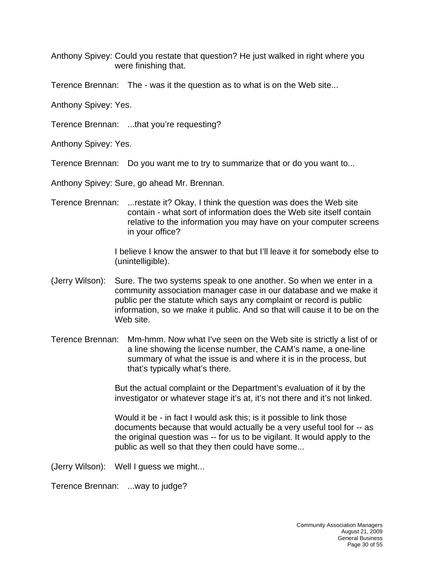Anthony Spivey: Could you restate that question? He just walked in right where you were finishing that.

Terence Brennan: The - was it the question as to what is on the Web site...

Anthony Spivey: Yes.

Terence Brennan: ...that you're requesting?

Anthony Spivey: Yes.

Terence Brennan: Do you want me to try to summarize that or do you want to...

Anthony Spivey: Sure, go ahead Mr. Brennan.

Terence Brennan: ...restate it? Okay, I think the question was does the Web site contain - what sort of information does the Web site itself contain relative to the information you may have on your computer screens in your office?

> I believe I know the answer to that but I'll leave it for somebody else to (unintelligible).

- (Jerry Wilson): Sure. The two systems speak to one another. So when we enter in a community association manager case in our database and we make it public per the statute which says any complaint or record is public information, so we make it public. And so that will cause it to be on the Web site.
- Terence Brennan: Mm-hmm. Now what I've seen on the Web site is strictly a list of or a line showing the license number, the CAM's name, a one-line summary of what the issue is and where it is in the process, but that's typically what's there.

But the actual complaint or the Department's evaluation of it by the investigator or whatever stage it's at, it's not there and it's not linked.

Would it be - in fact I would ask this; is it possible to link those documents because that would actually be a very useful tool for -- as the original question was -- for us to be vigilant. It would apply to the public as well so that they then could have some...

(Jerry Wilson): Well I guess we might...

Terence Brennan: ...way to judge?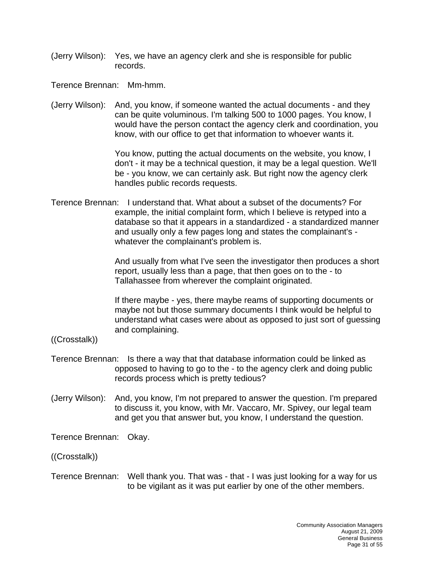(Jerry Wilson): Yes, we have an agency clerk and she is responsible for public records.

Terence Brennan: Mm-hmm.

(Jerry Wilson): And, you know, if someone wanted the actual documents - and they can be quite voluminous. I'm talking 500 to 1000 pages. You know, I would have the person contact the agency clerk and coordination, you know, with our office to get that information to whoever wants it.

> You know, putting the actual documents on the website, you know, I don't - it may be a technical question, it may be a legal question. We'll be - you know, we can certainly ask. But right now the agency clerk handles public records requests.

Terence Brennan: I understand that. What about a subset of the documents? For example, the initial complaint form, which I believe is retyped into a database so that it appears in a standardized - a standardized manner and usually only a few pages long and states the complainant's whatever the complainant's problem is.

> And usually from what I've seen the investigator then produces a short report, usually less than a page, that then goes on to the - to Tallahassee from wherever the complaint originated.

> If there maybe - yes, there maybe reams of supporting documents or maybe not but those summary documents I think would be helpful to understand what cases were about as opposed to just sort of guessing and complaining.

- ((Crosstalk))
- Terence Brennan: Is there a way that that database information could be linked as opposed to having to go to the - to the agency clerk and doing public records process which is pretty tedious?
- (Jerry Wilson): And, you know, I'm not prepared to answer the question. I'm prepared to discuss it, you know, with Mr. Vaccaro, Mr. Spivey, our legal team and get you that answer but, you know, I understand the question.

Terence Brennan: Okay.

((Crosstalk))

Terence Brennan: Well thank you. That was - that - I was just looking for a way for us to be vigilant as it was put earlier by one of the other members.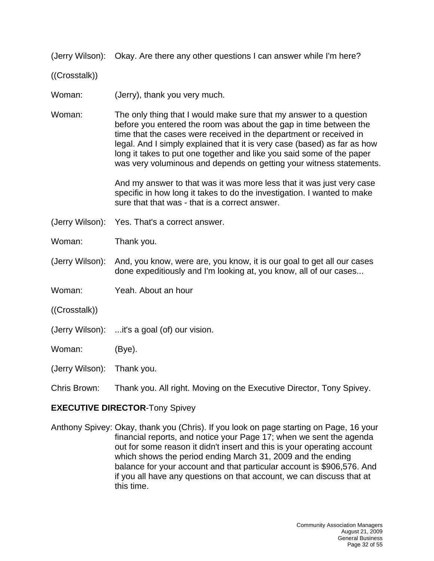(Jerry Wilson): Okay. Are there any other questions I can answer while I'm here?

((Crosstalk))

Woman: (Jerry), thank you very much.

Woman: The only thing that I would make sure that my answer to a question before you entered the room was about the gap in time between the time that the cases were received in the department or received in legal. And I simply explained that it is very case (based) as far as how long it takes to put one together and like you said some of the paper was very voluminous and depends on getting your witness statements.

> And my answer to that was it was more less that it was just very case specific in how long it takes to do the investigation. I wanted to make sure that that was - that is a correct answer.

(Jerry Wilson): Yes. That's a correct answer.

Woman: Thank you.

- (Jerry Wilson): And, you know, were are, you know, it is our goal to get all our cases done expeditiously and I'm looking at, you know, all of our cases...
- Woman: Yeah. About an hour
- ((Crosstalk))
- (Jerry Wilson): ...it's a goal (of) our vision.

Woman: (Bye).

(Jerry Wilson): Thank you.

Chris Brown: Thank you. All right. Moving on the Executive Director, Tony Spivey.

## **EXECUTIVE DIRECTOR**-Tony Spivey

Anthony Spivey: Okay, thank you (Chris). If you look on page starting on Page, 16 your financial reports, and notice your Page 17; when we sent the agenda out for some reason it didn't insert and this is your operating account which shows the period ending March 31, 2009 and the ending balance for your account and that particular account is \$906,576. And if you all have any questions on that account, we can discuss that at this time.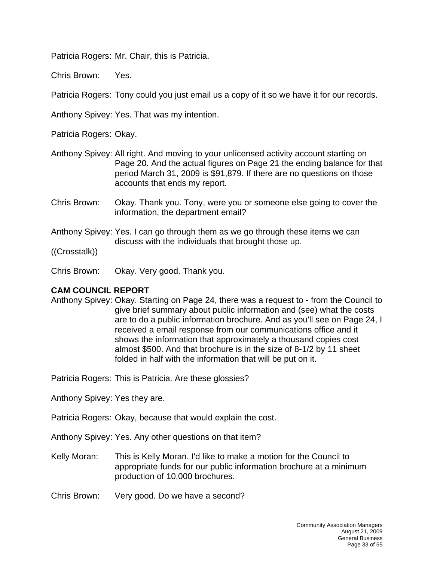Patricia Rogers: Mr. Chair, this is Patricia.

Chris Brown: Yes.

Patricia Rogers: Tony could you just email us a copy of it so we have it for our records.

Anthony Spivey: Yes. That was my intention.

Patricia Rogers: Okay.

- Anthony Spivey: All right. And moving to your unlicensed activity account starting on Page 20. And the actual figures on Page 21 the ending balance for that period March 31, 2009 is \$91,879. If there are no questions on those accounts that ends my report.
- Chris Brown: Okay. Thank you. Tony, were you or someone else going to cover the information, the department email?
- Anthony Spivey: Yes. I can go through them as we go through these items we can discuss with the individuals that brought those up.

((Crosstalk))

Chris Brown: Okay. Very good. Thank you.

## **CAM COUNCIL REPORT**

Anthony Spivey: Okay. Starting on Page 24, there was a request to - from the Council to give brief summary about public information and (see) what the costs are to do a public information brochure. And as you'll see on Page 24, I received a email response from our communications office and it shows the information that approximately a thousand copies cost almost \$500. And that brochure is in the size of 8-1/2 by 11 sheet folded in half with the information that will be put on it.

Patricia Rogers: This is Patricia. Are these glossies?

Anthony Spivey: Yes they are.

Patricia Rogers: Okay, because that would explain the cost.

Anthony Spivey: Yes. Any other questions on that item?

Kelly Moran: This is Kelly Moran. I'd like to make a motion for the Council to appropriate funds for our public information brochure at a minimum production of 10,000 brochures.

Chris Brown: Very good. Do we have a second?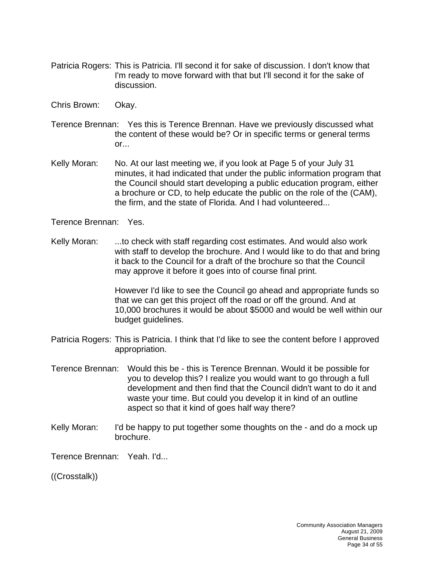- Patricia Rogers: This is Patricia. I'll second it for sake of discussion. I don't know that I'm ready to move forward with that but I'll second it for the sake of discussion.
- Chris Brown: Okay.
- Terence Brennan: Yes this is Terence Brennan. Have we previously discussed what the content of these would be? Or in specific terms or general terms or...
- Kelly Moran: No. At our last meeting we, if you look at Page 5 of your July 31 minutes, it had indicated that under the public information program that the Council should start developing a public education program, either a brochure or CD, to help educate the public on the role of the (CAM), the firm, and the state of Florida. And I had volunteered...

Terence Brennan: Yes.

Kelly Moran: ...to check with staff regarding cost estimates. And would also work with staff to develop the brochure. And I would like to do that and bring it back to the Council for a draft of the brochure so that the Council may approve it before it goes into of course final print.

> However I'd like to see the Council go ahead and appropriate funds so that we can get this project off the road or off the ground. And at 10,000 brochures it would be about \$5000 and would be well within our budget guidelines.

- Patricia Rogers: This is Patricia. I think that I'd like to see the content before I approved appropriation.
- Terence Brennan: Would this be this is Terence Brennan. Would it be possible for you to develop this? I realize you would want to go through a full development and then find that the Council didn't want to do it and waste your time. But could you develop it in kind of an outline aspect so that it kind of goes half way there?
- Kelly Moran: I'd be happy to put together some thoughts on the and do a mock up brochure.

Terence Brennan: Yeah. I'd...

((Crosstalk))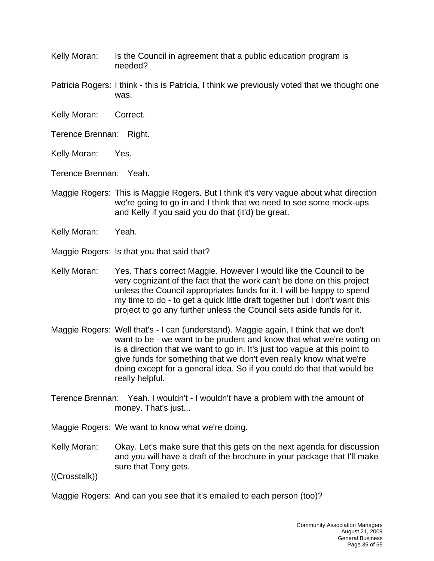Kelly Moran: Is the Council in agreement that a public education program is needed?

Patricia Rogers: I think - this is Patricia, I think we previously voted that we thought one was.

- Kelly Moran: Correct.
- Terence Brennan: Right.
- Kelly Moran: Yes.
- Terence Brennan: Yeah.
- Maggie Rogers: This is Maggie Rogers. But I think it's very vague about what direction we're going to go in and I think that we need to see some mock-ups and Kelly if you said you do that (it'd) be great.
- Kelly Moran: Yeah.

Maggie Rogers: Is that you that said that?

- Kelly Moran: Yes. That's correct Maggie. However I would like the Council to be very cognizant of the fact that the work can't be done on this project unless the Council appropriates funds for it. I will be happy to spend my time to do - to get a quick little draft together but I don't want this project to go any further unless the Council sets aside funds for it.
- Maggie Rogers: Well that's I can (understand). Maggie again, I think that we don't want to be - we want to be prudent and know that what we're voting on is a direction that we want to go in. It's just too vague at this point to give funds for something that we don't even really know what we're doing except for a general idea. So if you could do that that would be really helpful.
- Terence Brennan: Yeah. I wouldn't I wouldn't have a problem with the amount of money. That's just...

Maggie Rogers: We want to know what we're doing.

Kelly Moran: Okay. Let's make sure that this gets on the next agenda for discussion and you will have a draft of the brochure in your package that I'll make sure that Tony gets.

((Crosstalk))

Maggie Rogers: And can you see that it's emailed to each person (too)?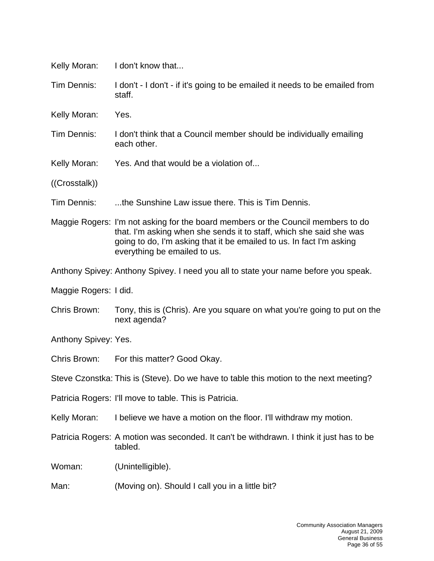| Kelly Moran:                                                                          | I don't know that                                                                                                                                                                                                                                               |  |  |
|---------------------------------------------------------------------------------------|-----------------------------------------------------------------------------------------------------------------------------------------------------------------------------------------------------------------------------------------------------------------|--|--|
| Tim Dennis:                                                                           | I don't - I don't - if it's going to be emailed it needs to be emailed from<br>staff.                                                                                                                                                                           |  |  |
| Kelly Moran:                                                                          | Yes.                                                                                                                                                                                                                                                            |  |  |
| Tim Dennis:                                                                           | I don't think that a Council member should be individually emailing<br>each other.                                                                                                                                                                              |  |  |
| Kelly Moran:                                                                          | Yes. And that would be a violation of                                                                                                                                                                                                                           |  |  |
| ((Crosstalk))                                                                         |                                                                                                                                                                                                                                                                 |  |  |
| Tim Dennis:                                                                           | the Sunshine Law issue there. This is Tim Dennis.                                                                                                                                                                                                               |  |  |
|                                                                                       | Maggie Rogers: I'm not asking for the board members or the Council members to do<br>that. I'm asking when she sends it to staff, which she said she was<br>going to do, I'm asking that it be emailed to us. In fact I'm asking<br>everything be emailed to us. |  |  |
|                                                                                       | Anthony Spivey: Anthony Spivey. I need you all to state your name before you speak.                                                                                                                                                                             |  |  |
| Maggie Rogers: I did.                                                                 |                                                                                                                                                                                                                                                                 |  |  |
| Chris Brown:                                                                          | Tony, this is (Chris). Are you square on what you're going to put on the<br>next agenda?                                                                                                                                                                        |  |  |
| Anthony Spivey: Yes.                                                                  |                                                                                                                                                                                                                                                                 |  |  |
| Chris Brown:                                                                          | For this matter? Good Okay.                                                                                                                                                                                                                                     |  |  |
| Steve Czonstka: This is (Steve). Do we have to table this motion to the next meeting? |                                                                                                                                                                                                                                                                 |  |  |
|                                                                                       | Patricia Rogers: I'll move to table. This is Patricia.                                                                                                                                                                                                          |  |  |
| Kelly Moran:                                                                          | I believe we have a motion on the floor. I'll withdraw my motion.                                                                                                                                                                                               |  |  |
|                                                                                       | Patricia Rogers: A motion was seconded. It can't be withdrawn. I think it just has to be<br>tabled.                                                                                                                                                             |  |  |
| Woman:                                                                                | (Unintelligible).                                                                                                                                                                                                                                               |  |  |
| Man:                                                                                  | (Moving on). Should I call you in a little bit?                                                                                                                                                                                                                 |  |  |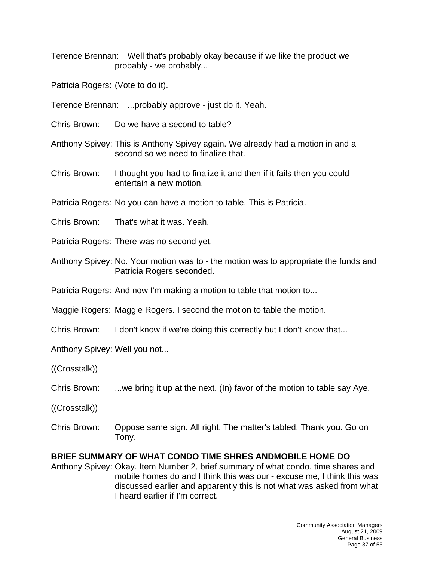Terence Brennan: Well that's probably okay because if we like the product we probably - we probably...

Patricia Rogers: (Vote to do it).

Terence Brennan: ...probably approve - just do it. Yeah.

Chris Brown: Do we have a second to table?

Anthony Spivey: This is Anthony Spivey again. We already had a motion in and a second so we need to finalize that.

Chris Brown: I thought you had to finalize it and then if it fails then you could entertain a new motion.

Patricia Rogers: No you can have a motion to table. This is Patricia.

Chris Brown: That's what it was. Yeah.

Patricia Rogers: There was no second yet.

Anthony Spivey: No. Your motion was to - the motion was to appropriate the funds and Patricia Rogers seconded.

Patricia Rogers: And now I'm making a motion to table that motion to...

Maggie Rogers: Maggie Rogers. I second the motion to table the motion.

Chris Brown: I don't know if we're doing this correctly but I don't know that...

Anthony Spivey: Well you not...

((Crosstalk))

Chris Brown: ...we bring it up at the next. (In) favor of the motion to table say Aye.

((Crosstalk))

Chris Brown: Oppose same sign. All right. The matter's tabled. Thank you. Go on Tony.

## **BRIEF SUMMARY OF WHAT CONDO TIME SHRES ANDMOBILE HOME DO**

Anthony Spivey: Okay. Item Number 2, brief summary of what condo, time shares and mobile homes do and I think this was our - excuse me, I think this was discussed earlier and apparently this is not what was asked from what I heard earlier if I'm correct.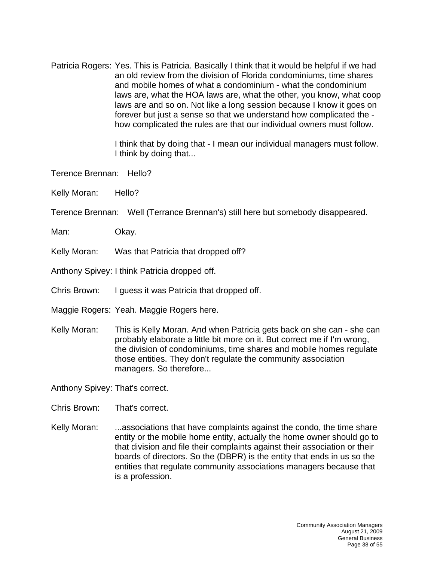Patricia Rogers: Yes. This is Patricia. Basically I think that it would be helpful if we had an old review from the division of Florida condominiums, time shares and mobile homes of what a condominium - what the condominium laws are, what the HOA laws are, what the other, you know, what coop laws are and so on. Not like a long session because I know it goes on forever but just a sense so that we understand how complicated the how complicated the rules are that our individual owners must follow.

> I think that by doing that - I mean our individual managers must follow. I think by doing that...

Terence Brennan: Hello?

Kelly Moran: Hello?

Terence Brennan: Well (Terrance Brennan's) still here but somebody disappeared.

Man: Okay.

Kelly Moran: Was that Patricia that dropped off?

Anthony Spivey: I think Patricia dropped off.

Chris Brown: I guess it was Patricia that dropped off.

Maggie Rogers: Yeah. Maggie Rogers here.

Kelly Moran: This is Kelly Moran. And when Patricia gets back on she can - she can probably elaborate a little bit more on it. But correct me if I'm wrong, the division of condominiums, time shares and mobile homes regulate those entities. They don't regulate the community association managers. So therefore...

Anthony Spivey: That's correct.

Chris Brown: That's correct.

Kelly Moran: ...associations that have complaints against the condo, the time share entity or the mobile home entity, actually the home owner should go to that division and file their complaints against their association or their boards of directors. So the (DBPR) is the entity that ends in us so the entities that regulate community associations managers because that is a profession.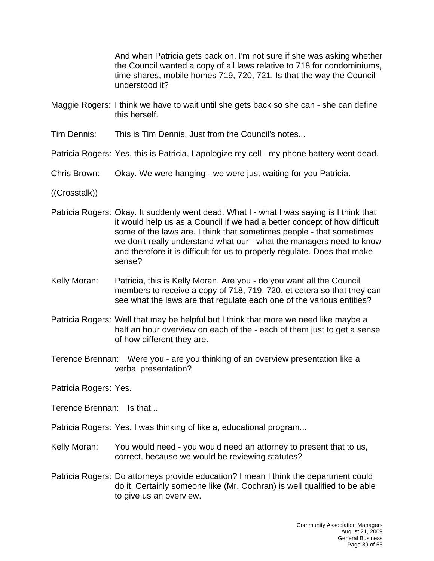And when Patricia gets back on, I'm not sure if she was asking whether the Council wanted a copy of all laws relative to 718 for condominiums, time shares, mobile homes 719, 720, 721. Is that the way the Council understood it?

- Maggie Rogers: I think we have to wait until she gets back so she can she can define this herself.
- Tim Dennis: This is Tim Dennis. Just from the Council's notes...

Patricia Rogers: Yes, this is Patricia, I apologize my cell - my phone battery went dead.

- Chris Brown: Okay. We were hanging we were just waiting for you Patricia.
- ((Crosstalk))
- Patricia Rogers: Okay. It suddenly went dead. What I what I was saying is I think that it would help us as a Council if we had a better concept of how difficult some of the laws are. I think that sometimes people - that sometimes we don't really understand what our - what the managers need to know and therefore it is difficult for us to properly regulate. Does that make sense?
- Kelly Moran: Patricia, this is Kelly Moran. Are you do you want all the Council members to receive a copy of 718, 719, 720, et cetera so that they can see what the laws are that regulate each one of the various entities?
- Patricia Rogers: Well that may be helpful but I think that more we need like maybe a half an hour overview on each of the - each of them just to get a sense of how different they are.
- Terence Brennan: Were you are you thinking of an overview presentation like a verbal presentation?

Patricia Rogers: Yes.

Terence Brennan: Is that...

Patricia Rogers: Yes. I was thinking of like a, educational program...

- Kelly Moran: You would need you would need an attorney to present that to us, correct, because we would be reviewing statutes?
- Patricia Rogers: Do attorneys provide education? I mean I think the department could do it. Certainly someone like (Mr. Cochran) is well qualified to be able to give us an overview.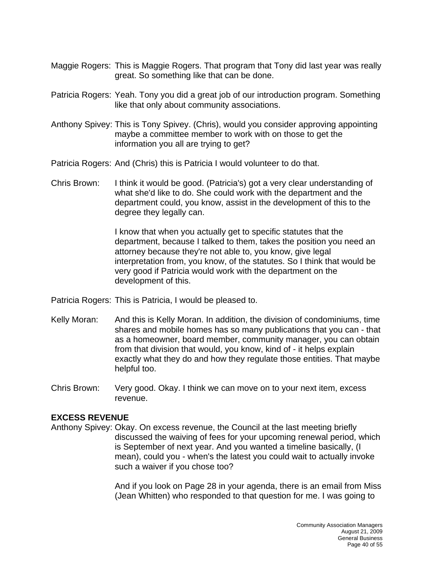- Maggie Rogers: This is Maggie Rogers. That program that Tony did last year was really great. So something like that can be done.
- Patricia Rogers: Yeah. Tony you did a great job of our introduction program. Something like that only about community associations.
- Anthony Spivey: This is Tony Spivey. (Chris), would you consider approving appointing maybe a committee member to work with on those to get the information you all are trying to get?
- Patricia Rogers: And (Chris) this is Patricia I would volunteer to do that.
- Chris Brown: I think it would be good. (Patricia's) got a very clear understanding of what she'd like to do. She could work with the department and the department could, you know, assist in the development of this to the degree they legally can.

I know that when you actually get to specific statutes that the department, because I talked to them, takes the position you need an attorney because they're not able to, you know, give legal interpretation from, you know, of the statutes. So I think that would be very good if Patricia would work with the department on the development of this.

- Patricia Rogers: This is Patricia, I would be pleased to.
- Kelly Moran: And this is Kelly Moran. In addition, the division of condominiums, time shares and mobile homes has so many publications that you can - that as a homeowner, board member, community manager, you can obtain from that division that would, you know, kind of - it helps explain exactly what they do and how they regulate those entities. That maybe helpful too.
- Chris Brown: Very good. Okay. I think we can move on to your next item, excess revenue.

## **EXCESS REVENUE**

Anthony Spivey: Okay. On excess revenue, the Council at the last meeting briefly discussed the waiving of fees for your upcoming renewal period, which is September of next year. And you wanted a timeline basically, (I mean), could you - when's the latest you could wait to actually invoke such a waiver if you chose too?

> And if you look on Page 28 in your agenda, there is an email from Miss (Jean Whitten) who responded to that question for me. I was going to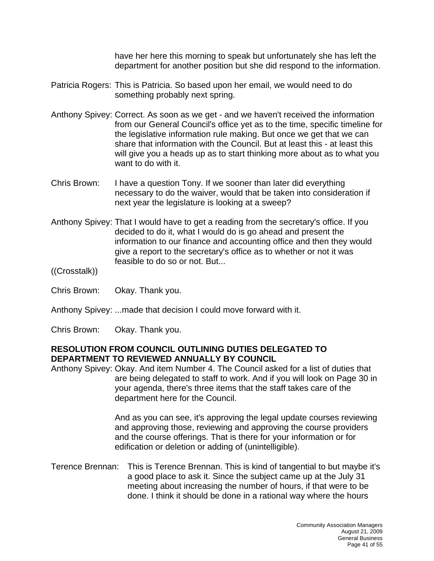have her here this morning to speak but unfortunately she has left the department for another position but she did respond to the information.

- Patricia Rogers: This is Patricia. So based upon her email, we would need to do something probably next spring.
- Anthony Spivey: Correct. As soon as we get and we haven't received the information from our General Council's office yet as to the time, specific timeline for the legislative information rule making. But once we get that we can share that information with the Council. But at least this - at least this will give you a heads up as to start thinking more about as to what you want to do with it.
- Chris Brown: I have a question Tony. If we sooner than later did everything necessary to do the waiver, would that be taken into consideration if next year the legislature is looking at a sweep?
- Anthony Spivey: That I would have to get a reading from the secretary's office. If you decided to do it, what I would do is go ahead and present the information to our finance and accounting office and then they would give a report to the secretary's office as to whether or not it was feasible to do so or not. But...
- ((Crosstalk))
- Chris Brown: Okay. Thank you.
- Anthony Spivey: ...made that decision I could move forward with it.
- Chris Brown: Okay. Thank you.

## **RESOLUTION FROM COUNCIL OUTLINING DUTIES DELEGATED TO DEPARTMENT TO REVIEWED ANNUALLY BY COUNCIL**

Anthony Spivey: Okay. And item Number 4. The Council asked for a list of duties that are being delegated to staff to work. And if you will look on Page 30 in your agenda, there's three items that the staff takes care of the department here for the Council.

> And as you can see, it's approving the legal update courses reviewing and approving those, reviewing and approving the course providers and the course offerings. That is there for your information or for edification or deletion or adding of (unintelligible).

Terence Brennan: This is Terence Brennan. This is kind of tangential to but maybe it's a good place to ask it. Since the subject came up at the July 31 meeting about increasing the number of hours, if that were to be done. I think it should be done in a rational way where the hours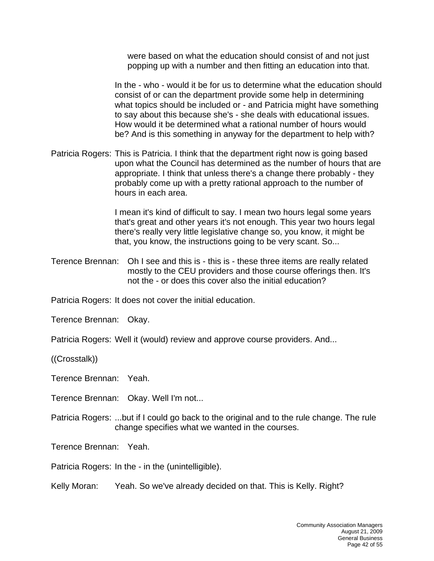were based on what the education should consist of and not just popping up with a number and then fitting an education into that.

In the - who - would it be for us to determine what the education should consist of or can the department provide some help in determining what topics should be included or - and Patricia might have something to say about this because she's - she deals with educational issues. How would it be determined what a rational number of hours would be? And is this something in anyway for the department to help with?

Patricia Rogers: This is Patricia. I think that the department right now is going based upon what the Council has determined as the number of hours that are appropriate. I think that unless there's a change there probably - they probably come up with a pretty rational approach to the number of hours in each area.

> I mean it's kind of difficult to say. I mean two hours legal some years that's great and other years it's not enough. This year two hours legal there's really very little legislative change so, you know, it might be that, you know, the instructions going to be very scant. So...

Terence Brennan: Oh I see and this is - this is - these three items are really related mostly to the CEU providers and those course offerings then. It's not the - or does this cover also the initial education?

Patricia Rogers: It does not cover the initial education.

Terence Brennan: Okay.

Patricia Rogers: Well it (would) review and approve course providers. And...

((Crosstalk))

Terence Brennan: Yeah.

Terence Brennan: Okay. Well I'm not...

Patricia Rogers: ...but if I could go back to the original and to the rule change. The rule change specifies what we wanted in the courses.

Terence Brennan: Yeah.

Patricia Rogers: In the - in the (unintelligible).

Kelly Moran: Yeah. So we've already decided on that. This is Kelly. Right?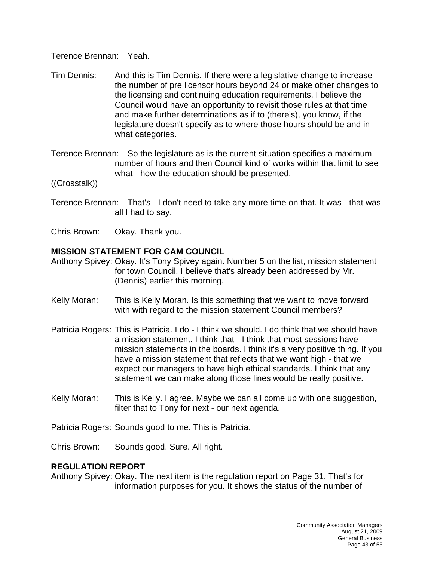Terence Brennan: Yeah.

- Tim Dennis: And this is Tim Dennis. If there were a legislative change to increase the number of pre licensor hours beyond 24 or make other changes to the licensing and continuing education requirements, I believe the Council would have an opportunity to revisit those rules at that time and make further determinations as if to (there's), you know, if the legislature doesn't specify as to where those hours should be and in what categories.
- Terence Brennan: So the legislature as is the current situation specifies a maximum number of hours and then Council kind of works within that limit to see what - how the education should be presented.

((Crosstalk))

- Terence Brennan: That's I don't need to take any more time on that. It was that was all I had to say.
- Chris Brown: Okay. Thank you.

## **MISSION STATEMENT FOR CAM COUNCIL**

- Anthony Spivey: Okay. It's Tony Spivey again. Number 5 on the list, mission statement for town Council, I believe that's already been addressed by Mr. (Dennis) earlier this morning.
- Kelly Moran: This is Kelly Moran. Is this something that we want to move forward with with regard to the mission statement Council members?
- Patricia Rogers: This is Patricia. I do I think we should. I do think that we should have a mission statement. I think that - I think that most sessions have mission statements in the boards. I think it's a very positive thing. If you have a mission statement that reflects that we want high - that we expect our managers to have high ethical standards. I think that any statement we can make along those lines would be really positive.
- Kelly Moran: This is Kelly. I agree. Maybe we can all come up with one suggestion, filter that to Tony for next - our next agenda.

Patricia Rogers: Sounds good to me. This is Patricia.

Chris Brown: Sounds good. Sure. All right.

## **REGULATION REPORT**

Anthony Spivey: Okay. The next item is the regulation report on Page 31. That's for information purposes for you. It shows the status of the number of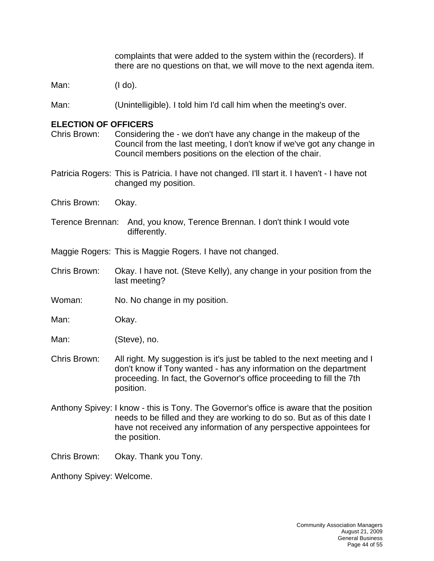complaints that were added to the system within the (recorders). If there are no questions on that, we will move to the next agenda item.

Man: (I do).

Man: (Unintelligible). I told him I'd call him when the meeting's over.

#### **ELECTION OF OFFICERS**

Chris Brown: Considering the - we don't have any change in the makeup of the Council from the last meeting, I don't know if we've got any change in Council members positions on the election of the chair.

Patricia Rogers: This is Patricia. I have not changed. I'll start it. I haven't - I have not changed my position.

Chris Brown: Okay.

Terence Brennan: And, you know, Terence Brennan. I don't think I would vote differently.

Maggie Rogers: This is Maggie Rogers. I have not changed.

- Chris Brown: Okay. I have not. (Steve Kelly), any change in your position from the last meeting?
- Woman: No. No change in my position.

Man: Okay.

Man: (Steve), no.

- Chris Brown: All right. My suggestion is it's just be tabled to the next meeting and I don't know if Tony wanted - has any information on the department proceeding. In fact, the Governor's office proceeding to fill the 7th position.
- Anthony Spivey: I know this is Tony. The Governor's office is aware that the position needs to be filled and they are working to do so. But as of this date I have not received any information of any perspective appointees for the position.

Chris Brown: Okay. Thank you Tony.

Anthony Spivey: Welcome.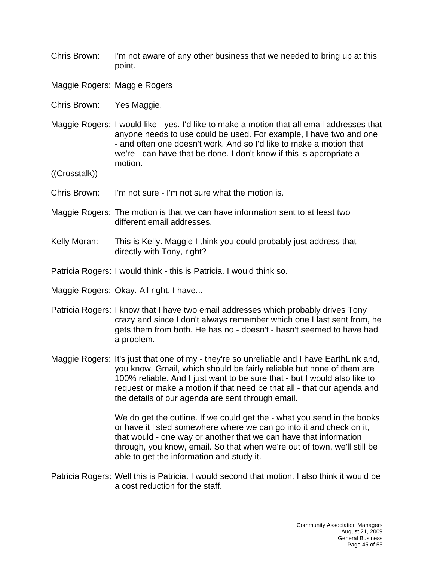Chris Brown: I'm not aware of any other business that we needed to bring up at this point.

Maggie Rogers: Maggie Rogers

- Chris Brown: Yes Maggie.
- Maggie Rogers: I would like yes. I'd like to make a motion that all email addresses that anyone needs to use could be used. For example, I have two and one - and often one doesn't work. And so I'd like to make a motion that we're - can have that be done. I don't know if this is appropriate a motion.

((Crosstalk))

- Chris Brown: I'm not sure I'm not sure what the motion is.
- Maggie Rogers: The motion is that we can have information sent to at least two different email addresses.
- Kelly Moran: This is Kelly. Maggie I think you could probably just address that directly with Tony, right?

Patricia Rogers: I would think - this is Patricia. I would think so.

Maggie Rogers: Okay. All right. I have...

- Patricia Rogers: I know that I have two email addresses which probably drives Tony crazy and since I don't always remember which one I last sent from, he gets them from both. He has no - doesn't - hasn't seemed to have had a problem.
- Maggie Rogers: It's just that one of my they're so unreliable and I have EarthLink and, you know, Gmail, which should be fairly reliable but none of them are 100% reliable. And I just want to be sure that - but I would also like to request or make a motion if that need be that all - that our agenda and the details of our agenda are sent through email.

We do get the outline. If we could get the - what you send in the books or have it listed somewhere where we can go into it and check on it, that would - one way or another that we can have that information through, you know, email. So that when we're out of town, we'll still be able to get the information and study it.

Patricia Rogers: Well this is Patricia. I would second that motion. I also think it would be a cost reduction for the staff.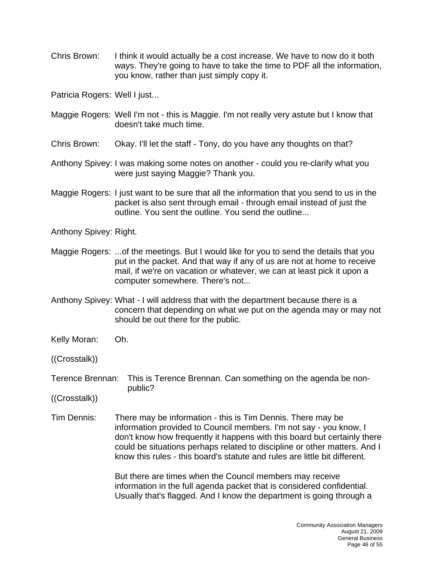Chris Brown: I think it would actually be a cost increase. We have to now do it both ways. They're going to have to take the time to PDF all the information, you know, rather than just simply copy it.

Patricia Rogers: Well I just...

- Maggie Rogers: Well I'm not this is Maggie. I'm not really very astute but I know that doesn't take much time.
- Chris Brown: Okay. I'll let the staff Tony, do you have any thoughts on that?
- Anthony Spivey: I was making some notes on another could you re-clarify what you were just saying Maggie? Thank you.
- Maggie Rogers: I just want to be sure that all the information that you send to us in the packet is also sent through email - through email instead of just the outline. You sent the outline. You send the outline...

Anthony Spivey: Right.

- Maggie Rogers: ...of the meetings. But I would like for you to send the details that you put in the packet. And that way if any of us are not at home to receive mail, if we're on vacation or whatever, we can at least pick it upon a computer somewhere. There's not...
- Anthony Spivey: What I will address that with the department because there is a concern that depending on what we put on the agenda may or may not should be out there for the public.
- Kelly Moran: Oh.
- ((Crosstalk))
- Terence Brennan: This is Terence Brennan. Can something on the agenda be nonpublic?
- ((Crosstalk))
- Tim Dennis: There may be information this is Tim Dennis. There may be information provided to Council members. I'm not say - you know, I don't know how frequently it happens with this board but certainly there could be situations perhaps related to discipline or other matters. And I know this rules - this board's statute and rules are little bit different.

But there are times when the Council members may receive information in the full agenda packet that is considered confidential. Usually that's flagged. And I know the department is going through a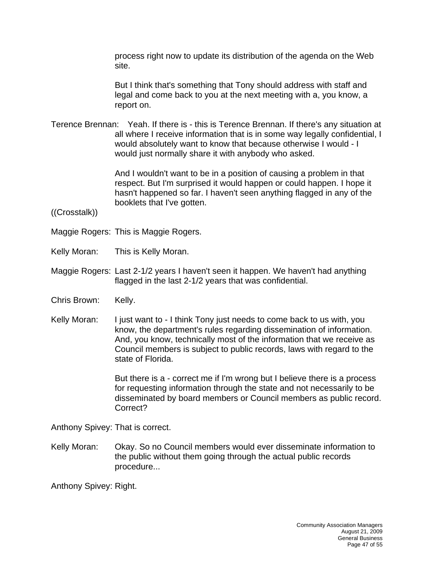process right now to update its distribution of the agenda on the Web site.

But I think that's something that Tony should address with staff and legal and come back to you at the next meeting with a, you know, a report on.

Terence Brennan: Yeah. If there is - this is Terence Brennan. If there's any situation at all where I receive information that is in some way legally confidential, I would absolutely want to know that because otherwise I would - I would just normally share it with anybody who asked.

> And I wouldn't want to be in a position of causing a problem in that respect. But I'm surprised it would happen or could happen. I hope it hasn't happened so far. I haven't seen anything flagged in any of the booklets that I've gotten.

((Crosstalk))

- Maggie Rogers: This is Maggie Rogers.
- Kelly Moran: This is Kelly Moran.
- Maggie Rogers: Last 2-1/2 years I haven't seen it happen. We haven't had anything flagged in the last 2-1/2 years that was confidential.
- Chris Brown: Kelly.
- Kelly Moran: I just want to I think Tony just needs to come back to us with, you know, the department's rules regarding dissemination of information. And, you know, technically most of the information that we receive as Council members is subject to public records, laws with regard to the state of Florida.

But there is a - correct me if I'm wrong but I believe there is a process for requesting information through the state and not necessarily to be disseminated by board members or Council members as public record. Correct?

Anthony Spivey: That is correct.

Kelly Moran: Okay. So no Council members would ever disseminate information to the public without them going through the actual public records procedure...

Anthony Spivey: Right.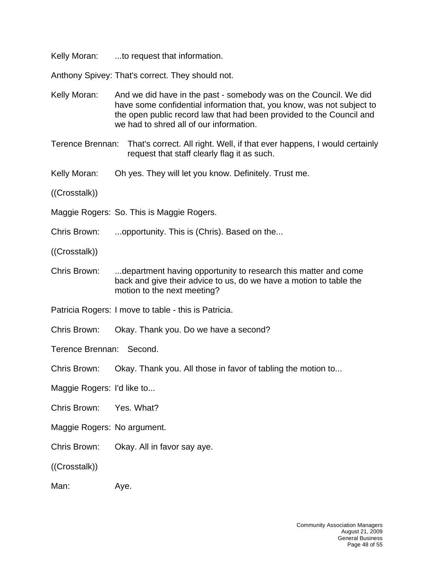Kelly Moran: ...to request that information.

Anthony Spivey: That's correct. They should not.

Kelly Moran: And we did have in the past - somebody was on the Council. We did have some confidential information that, you know, was not subject to the open public record law that had been provided to the Council and we had to shred all of our information.

Terence Brennan: That's correct. All right. Well, if that ever happens, I would certainly request that staff clearly flag it as such.

- Kelly Moran: Oh yes. They will let you know. Definitely. Trust me.
- ((Crosstalk))
- Maggie Rogers: So. This is Maggie Rogers.
- Chris Brown: ...opportunity. This is (Chris). Based on the...
- ((Crosstalk))
- Chris Brown: ...department having opportunity to research this matter and come back and give their advice to us, do we have a motion to table the motion to the next meeting?
- Patricia Rogers: I move to table this is Patricia.
- Chris Brown: Okay. Thank you. Do we have a second?

Terence Brennan: Second.

- Chris Brown: Okay. Thank you. All those in favor of tabling the motion to...
- Maggie Rogers: I'd like to...
- Chris Brown: Yes. What?
- Maggie Rogers: No argument.
- Chris Brown: Okay. All in favor say aye.
- ((Crosstalk))

Man: Aye.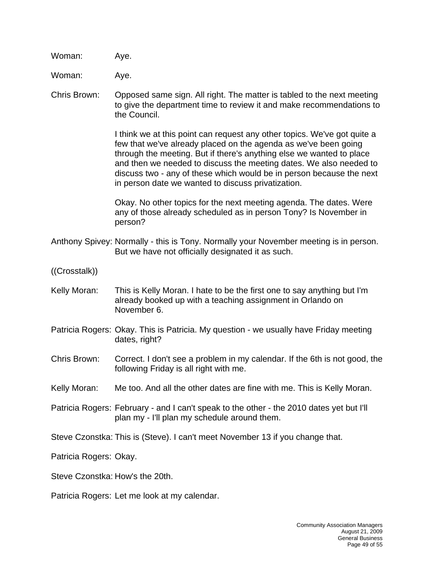Woman: Aye.

Woman: Aye.

Chris Brown: Opposed same sign. All right. The matter is tabled to the next meeting to give the department time to review it and make recommendations to the Council.

> I think we at this point can request any other topics. We've got quite a few that we've already placed on the agenda as we've been going through the meeting. But if there's anything else we wanted to place and then we needed to discuss the meeting dates. We also needed to discuss two - any of these which would be in person because the next in person date we wanted to discuss privatization.

Okay. No other topics for the next meeting agenda. The dates. Were any of those already scheduled as in person Tony? Is November in person?

- Anthony Spivey: Normally this is Tony. Normally your November meeting is in person. But we have not officially designated it as such.
- ((Crosstalk))
- Kelly Moran: This is Kelly Moran. I hate to be the first one to say anything but I'm already booked up with a teaching assignment in Orlando on November 6.
- Patricia Rogers: Okay. This is Patricia. My question we usually have Friday meeting dates, right?
- Chris Brown: Correct. I don't see a problem in my calendar. If the 6th is not good, the following Friday is all right with me.
- Kelly Moran: Me too. And all the other dates are fine with me. This is Kelly Moran.
- Patricia Rogers: February and I can't speak to the other the 2010 dates yet but I'll plan my - I'll plan my schedule around them.

Steve Czonstka: This is (Steve). I can't meet November 13 if you change that.

Patricia Rogers: Okay.

Steve Czonstka: How's the 20th.

Patricia Rogers: Let me look at my calendar.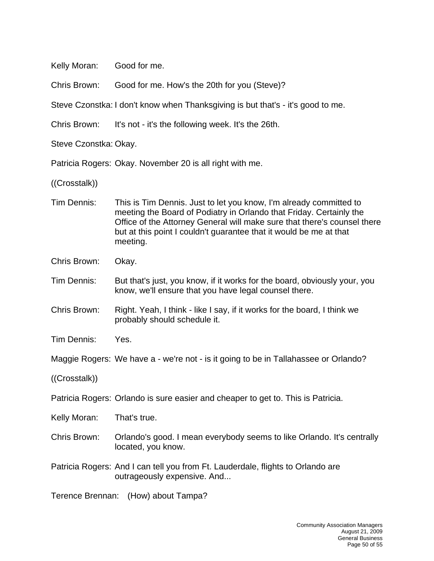Kelly Moran: Good for me.

Chris Brown: Good for me. How's the 20th for you (Steve)?

Steve Czonstka: I don't know when Thanksgiving is but that's - it's good to me.

Chris Brown: It's not - it's the following week. It's the 26th.

Steve Czonstka: Okay.

Patricia Rogers: Okay. November 20 is all right with me.

((Crosstalk))

- Tim Dennis: This is Tim Dennis. Just to let you know, I'm already committed to meeting the Board of Podiatry in Orlando that Friday. Certainly the Office of the Attorney General will make sure that there's counsel there but at this point I couldn't guarantee that it would be me at that meeting.
- Chris Brown: Okay.
- Tim Dennis: But that's just, you know, if it works for the board, obviously your, you know, we'll ensure that you have legal counsel there.
- Chris Brown: Right. Yeah, I think like I say, if it works for the board, I think we probably should schedule it.
- Tim Dennis: Yes.
- Maggie Rogers: We have a we're not is it going to be in Tallahassee or Orlando?

((Crosstalk))

Patricia Rogers: Orlando is sure easier and cheaper to get to. This is Patricia.

Kelly Moran: That's true.

- Chris Brown: Orlando's good. I mean everybody seems to like Orlando. It's centrally located, you know.
- Patricia Rogers: And I can tell you from Ft. Lauderdale, flights to Orlando are outrageously expensive. And...

Terence Brennan: (How) about Tampa?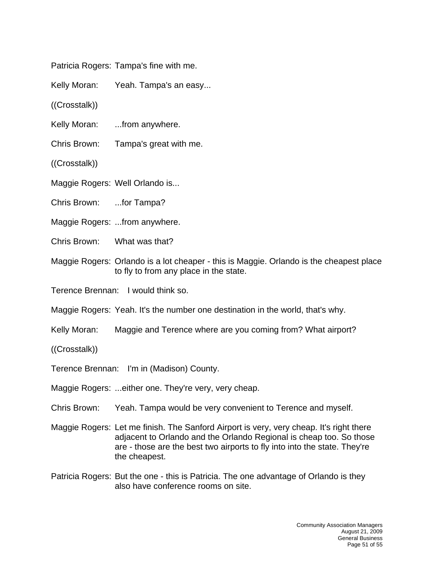Patricia Rogers: Tampa's fine with me.

Kelly Moran: Yeah. Tampa's an easy...

((Crosstalk))

Kelly Moran: ...from anywhere.

Chris Brown: Tampa's great with me.

((Crosstalk))

Maggie Rogers: Well Orlando is...

Chris Brown: ...for Tampa?

Maggie Rogers: ...from anywhere.

Chris Brown: What was that?

Maggie Rogers: Orlando is a lot cheaper - this is Maggie. Orlando is the cheapest place to fly to from any place in the state.

Terence Brennan: I would think so.

Maggie Rogers: Yeah. It's the number one destination in the world, that's why.

Kelly Moran: Maggie and Terence where are you coming from? What airport?

((Crosstalk))

Terence Brennan: I'm in (Madison) County.

Maggie Rogers: ...either one. They're very, very cheap.

Chris Brown: Yeah. Tampa would be very convenient to Terence and myself.

Maggie Rogers: Let me finish. The Sanford Airport is very, very cheap. It's right there adjacent to Orlando and the Orlando Regional is cheap too. So those are - those are the best two airports to fly into into the state. They're the cheapest.

Patricia Rogers: But the one - this is Patricia. The one advantage of Orlando is they also have conference rooms on site.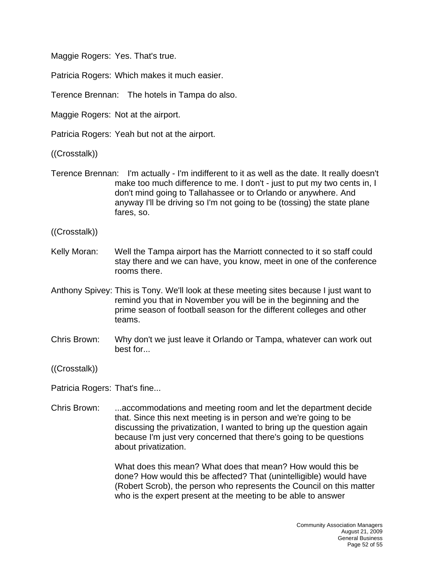Maggie Rogers: Yes. That's true.

Patricia Rogers: Which makes it much easier.

Terence Brennan: The hotels in Tampa do also.

Maggie Rogers: Not at the airport.

Patricia Rogers: Yeah but not at the airport.

((Crosstalk))

- Terence Brennan: I'm actually I'm indifferent to it as well as the date. It really doesn't make too much difference to me. I don't - just to put my two cents in, I don't mind going to Tallahassee or to Orlando or anywhere. And anyway I'll be driving so I'm not going to be (tossing) the state plane fares, so.
- ((Crosstalk))
- Kelly Moran: Well the Tampa airport has the Marriott connected to it so staff could stay there and we can have, you know, meet in one of the conference rooms there.
- Anthony Spivey: This is Tony. We'll look at these meeting sites because I just want to remind you that in November you will be in the beginning and the prime season of football season for the different colleges and other teams.
- Chris Brown: Why don't we just leave it Orlando or Tampa, whatever can work out best for...

((Crosstalk))

Patricia Rogers: That's fine...

Chris Brown: ...accommodations and meeting room and let the department decide that. Since this next meeting is in person and we're going to be discussing the privatization, I wanted to bring up the question again because I'm just very concerned that there's going to be questions about privatization.

> What does this mean? What does that mean? How would this be done? How would this be affected? That (unintelligible) would have (Robert Scrob), the person who represents the Council on this matter who is the expert present at the meeting to be able to answer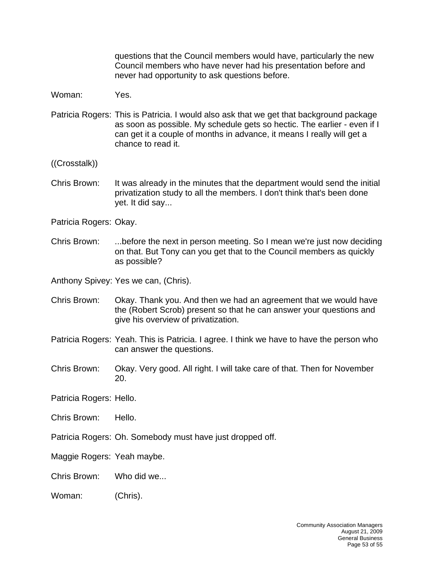questions that the Council members would have, particularly the new Council members who have never had his presentation before and never had opportunity to ask questions before.

Woman: Yes.

- Patricia Rogers: This is Patricia. I would also ask that we get that background package as soon as possible. My schedule gets so hectic. The earlier - even if I can get it a couple of months in advance, it means I really will get a chance to read it.
- ((Crosstalk))
- Chris Brown: It was already in the minutes that the department would send the initial privatization study to all the members. I don't think that's been done yet. It did say...

Patricia Rogers: Okay.

Chris Brown: ...before the next in person meeting. So I mean we're just now deciding on that. But Tony can you get that to the Council members as quickly as possible?

Anthony Spivey: Yes we can, (Chris).

- Chris Brown: Okay. Thank you. And then we had an agreement that we would have the (Robert Scrob) present so that he can answer your questions and give his overview of privatization.
- Patricia Rogers: Yeah. This is Patricia. I agree. I think we have to have the person who can answer the questions.
- Chris Brown: Okay. Very good. All right. I will take care of that. Then for November 20.

Patricia Rogers: Hello.

- Chris Brown: Hello.
- Patricia Rogers: Oh. Somebody must have just dropped off.

Maggie Rogers: Yeah maybe.

Chris Brown: Who did we...

Woman: (Chris).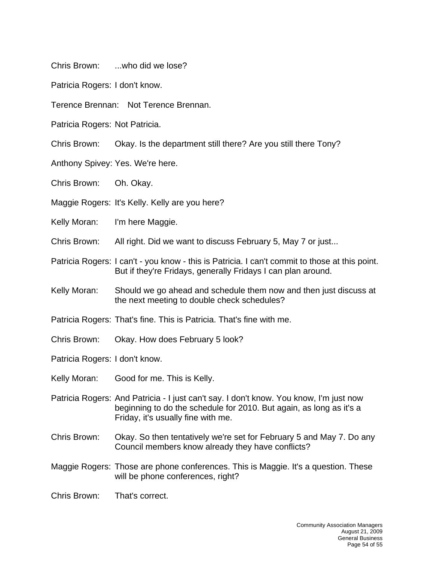Chris Brown: ...who did we lose?

Patricia Rogers: I don't know.

Terence Brennan: Not Terence Brennan.

Patricia Rogers: Not Patricia.

Chris Brown: Okay. Is the department still there? Are you still there Tony?

Anthony Spivey: Yes. We're here.

Chris Brown: Oh. Okay.

Maggie Rogers: It's Kelly. Kelly are you here?

Kelly Moran: I'm here Maggie.

Chris Brown: All right. Did we want to discuss February 5, May 7 or just...

Patricia Rogers: I can't - you know - this is Patricia. I can't commit to those at this point. But if they're Fridays, generally Fridays I can plan around.

Kelly Moran: Should we go ahead and schedule them now and then just discuss at the next meeting to double check schedules?

Patricia Rogers: That's fine. This is Patricia. That's fine with me.

Chris Brown: Okay. How does February 5 look?

Patricia Rogers: I don't know.

- Kelly Moran: Good for me. This is Kelly.
- Patricia Rogers: And Patricia I just can't say. I don't know. You know, I'm just now beginning to do the schedule for 2010. But again, as long as it's a Friday, it's usually fine with me.
- Chris Brown: Okay. So then tentatively we're set for February 5 and May 7. Do any Council members know already they have conflicts?
- Maggie Rogers: Those are phone conferences. This is Maggie. It's a question. These will be phone conferences, right?

Chris Brown: That's correct.